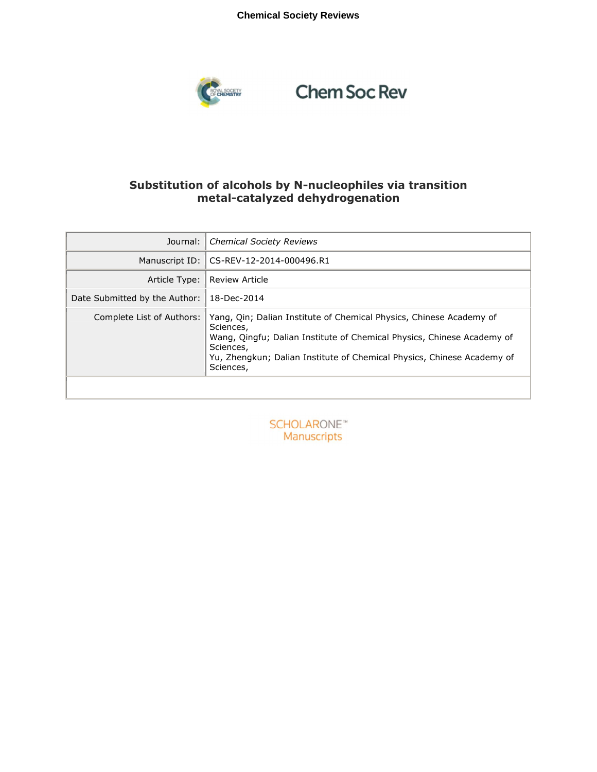# **Chemical Society Reviews**



# **Chem Soc Rev**

# **Substitution of alcohols by N-nucleophiles via transition metal-catalyzed dehydrogenation**

| Journal:                      | <b>Chemical Society Reviews</b>                                                                                                                                                                                                                                |
|-------------------------------|----------------------------------------------------------------------------------------------------------------------------------------------------------------------------------------------------------------------------------------------------------------|
| Manuscript ID:                | CS-REV-12-2014-000496.R1                                                                                                                                                                                                                                       |
| Article Type:                 | <b>Review Article</b>                                                                                                                                                                                                                                          |
| Date Submitted by the Author: | 18-Dec-2014                                                                                                                                                                                                                                                    |
| Complete List of Authors:     | Yang, Qin; Dalian Institute of Chemical Physics, Chinese Academy of<br>Sciences,<br>Wang, Qingfu; Dalian Institute of Chemical Physics, Chinese Academy of<br>Sciences,<br>Yu, Zhengkun; Dalian Institute of Chemical Physics, Chinese Academy of<br>Sciences, |

**SCHOLARONE™** Manuscripts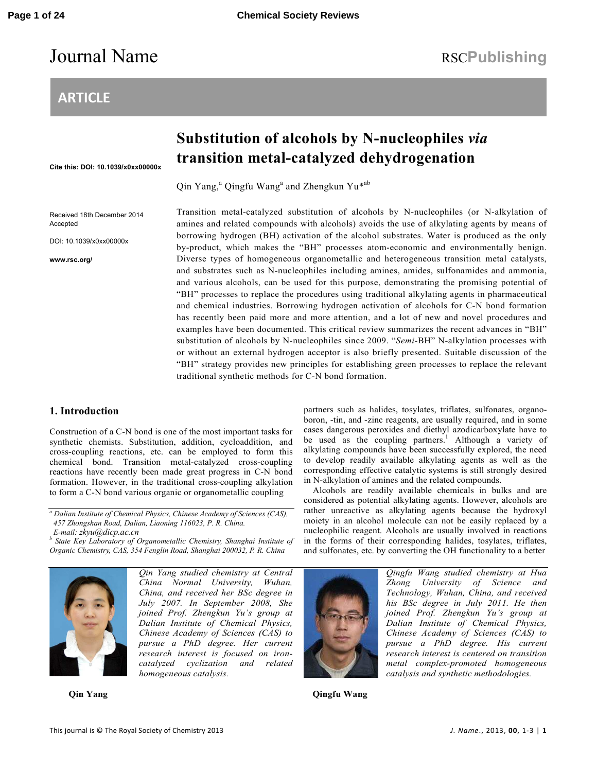# Journal Name RSCPublishing

# **ARTICLE**

# **Substitution of alcohols by N-nucleophiles** *via* **transition metal-catalyzed dehydrogenation**

Qin Yang,<sup>a</sup> Qingfu Wang<sup>a</sup> and Zhengkun Yu\*<sup>ab</sup>

traditional synthetic methods for C-N bond formation.

Received 18th December 2014 Accepted

**Cite this: DOI: 10.1039/x0xx00000x** 

DOI: 10.1039/x0xx00000x

**www.rsc.org/** 

Transition metal-catalyzed substitution of alcohols by N-nucleophiles (or N-alkylation of amines and related compounds with alcohols) avoids the use of alkylating agents by means of borrowing hydrogen (BH) activation of the alcohol substrates. Water is produced as the only by-product, which makes the "BH" processes atom-economic and environmentally benign. Diverse types of homogeneous organometallic and heterogeneous transition metal catalysts, and substrates such as N-nucleophiles including amines, amides, sulfonamides and ammonia, and various alcohols, can be used for this purpose, demonstrating the promising potential of "BH" processes to replace the procedures using traditional alkylating agents in pharmaceutical and chemical industries. Borrowing hydrogen activation of alcohols for C-N bond formation has recently been paid more and more attention, and a lot of new and novel procedures and examples have been documented. This critical review summarizes the recent advances in "BH" substitution of alcohols by N-nucleophiles since 2009. "*Semi*-BH" N-alkylation processes with or without an external hydrogen acceptor is also briefly presented. Suitable discussion of the "BH" strategy provides new principles for establishing green processes to replace the relevant

# **1. Introduction**

Construction of a C-N bond is one of the most important tasks for synthetic chemists. Substitution, addition, cycloaddition, and cross-coupling reactions, etc. can be employed to form this chemical bond. Transition metal-catalyzed cross-coupling reactions have recently been made great progress in C-N bond formation. However, in the traditional cross-coupling alkylation to form a C-N bond various organic or organometallic coupling

<sup>a</sup> Dalian Institute of Chemical Physics, Chinese Academy of Sciences (CAS), *457 Zhongshan Road, Dalian, Liaoning 116023, P. R. China. E-mail: zkyu@dicp.ac.cn* 

<sup>*b*</sup> State Key Laboratory of Organometallic Chemistry, Shanghai Institute of *Organic Chemistry, CAS, 354 Fenglin Road, Shanghai 200032, P. R. China*



*Qin Yang studied chemistry at Central China Normal University, Wuhan, China, and received her BSc degree in July 2007. In September 2008, She joined Prof. Zhengkun Yu's group at Dalian Institute of Chemical Physics, Chinese Academy of Sciences (CAS) to pursue a PhD degree. Her current research interest is focused on ironcatalyzed cyclization and related* 

**Qin Yang**

*homogeneous catalysis.* 

**Qingfu Wang** 

partners such as halides, tosylates, triflates, sulfonates, organoboron, -tin, and -zinc reagents, are usually required, and in some cases dangerous peroxides and diethyl azodicarboxylate have to be used as the coupling partners.<sup>1</sup> Although a variety of alkylating compounds have been successfully explored, the need to develop readily available alkylating agents as well as the corresponding effective catalytic systems is still strongly desired in N-alkylation of amines and the related compounds.

Alcohols are readily available chemicals in bulks and are considered as potential alkylating agents. However, alcohols are rather unreactive as alkylating agents because the hydroxyl moiety in an alcohol molecule can not be easily replaced by a nucleophilic reagent. Alcohols are usually involved in reactions in the forms of their corresponding halides, tosylates, triflates, and sulfonates, etc. by converting the OH functionality to a better

> *Qingfu Wang studied chemistry at Hua Zhong University of Science and Technology, Wuhan, China, and received his BSc degree in July 2011. He then joined Prof. Zhengkun Yu's group at Dalian Institute of Chemical Physics, Chinese Academy of Sciences (CAS) to pursue a PhD degree. His current research interest is centered on transition metal complex-promoted homogeneous catalysis and synthetic methodologies.*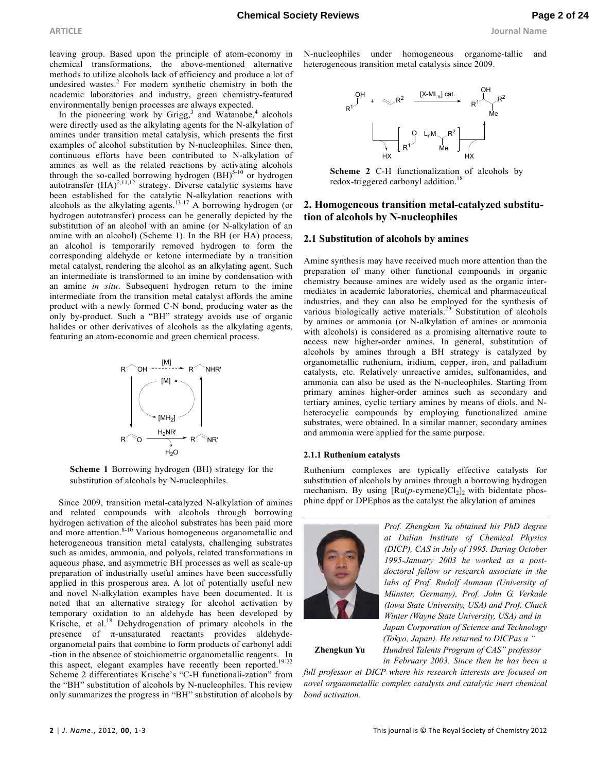leaving group. Based upon the principle of atom-economy in chemical transformations, the above-mentioned alternative methods to utilize alcohols lack of efficiency and produce a lot of undesired wastes.<sup>2</sup> For modern synthetic chemistry in both the academic laboratories and industry, green chemistry-featured environmentally benign processes are always expected.

In the pioneering work by Grigg,<sup>3</sup> and Watanabe,<sup>4</sup> alcohols were directly used as the alkylating agents for the N-alkylation of amines under transition metal catalysis, which presents the first examples of alcohol substitution by N-nucleophiles. Since then, continuous efforts have been contributed to N-alkylation of amines as well as the related reactions by activating alcohols amines as well as the related reactions by activating arconomic through the so-called borrowing hydrogen  $(BH)^{5-10}$  or hydrogen autotransfer  $(HA)^{2,11,12}$  strategy. Diverse catalytic systems have been established for the catalytic N-alkylation reactions with alcohols as the alkylating agents. $13-17$  A borrowing hydrogen (or hydrogen autotransfer) process can be generally depicted by the substitution of an alcohol with an amine (or N-alkylation of an amine with an alcohol) (Scheme 1). In the BH (or HA) process, an alcohol is temporarily removed hydrogen to form the corresponding aldehyde or ketone intermediate by a transition metal catalyst, rendering the alcohol as an alkylating agent. Such an intermediate is transformed to an imine by condensation with an amine *in situ*. Subsequent hydrogen return to the imine intermediate from the transition metal catalyst affords the amine product with a newly formed C-N bond, producing water as the only by-product. Such a "BH" strategy avoids use of organic halides or other derivatives of alcohols as the alkylating agents, featuring an atom-economic and green chemical process.



**Scheme 1** Borrowing hydrogen (BH) strategy for the substitution of alcohols by N-nucleophiles.

Since 2009, transition metal-catalyzed N-alkylation of amines and related compounds with alcohols through borrowing hydrogen activation of the alcohol substrates has been paid more and more attention.<sup>8-10</sup> Various homogeneous organometallic and heterogeneous transition metal catalysts, challenging substrates such as amides, ammonia, and polyols, related transformations in aqueous phase, and asymmetric BH processes as well as scale-up preparation of industrially useful amines have been successfully applied in this prosperous area. A lot of potentially useful new and novel N-alkylation examples have been documented. It is noted that an alternative strategy for alcohol activation by temporary oxidation to an aldehyde has been developed by Krische, et al.<sup>18</sup> Dehydrogenation of primary alcohols in the presence of  $\pi$ -unsaturated reactants provides aldehydeorganometal pairs that combine to form products of carbonyl addi -tion in the absence of stoichiometric organometallic reagents. In this aspect, elegant examples have recently been reported.<sup>19-22</sup> Scheme 2 differentiates Krische's "C-H functionali-zation" from the "BH" substitution of alcohols by N-nucleophiles. This review only summarizes the progress in "BH" substitution of alcohols by

N-nucleophiles under homogeneous organome-tallic and heterogeneous transition metal catalysis since 2009.



**Scheme 2** C-H functionalization of alcohols by redox-triggered carbonyl addition.<sup>18</sup>

# **2. Homogeneous transition metal-catalyzed substitution of alcohols by N-nucleophiles**

#### **2.1 Substitution of alcohols by amines**

Amine synthesis may have received much more attention than the preparation of many other functional compounds in organic chemistry because amines are widely used as the organic intermediates in academic laboratories, chemical and pharmaceutical industries, and they can also be employed for the synthesis of various biologically active materials.<sup>23</sup> Substitution of alcohols by amines or ammonia (or N-alkylation of amines or ammonia with alcohols) is considered as a promising alternative route to access new higher-order amines. In general, substitution of alcohols by amines through a BH strategy is catalyzed by organometallic ruthenium, iridium, copper, iron, and palladium catalysts, etc. Relatively unreactive amides, sulfonamides, and ammonia can also be used as the N-nucleophiles. Starting from primary amines higher-order amines such as secondary and tertiary amines, cyclic tertiary amines by means of diols, and Nheterocyclic compounds by employing functionalized amine substrates, were obtained. In a similar manner, secondary amines and ammonia were applied for the same purpose.

#### **2.1.1 Ruthenium catalysts**

Ruthenium complexes are typically effective catalysts for substitution of alcohols by amines through a borrowing hydrogen mechanism. By using  $[Ru(p\text{-cymene})Cl_2]_2$  with bidentate phosphine dppf or DPEphos as the catalyst the alkylation of amines



*Prof. Zhengkun Yu obtained his PhD degree at Dalian Institute of Chemical Physics (DICP), CAS in July of 1995. During October 1995-January 2003 he worked as a postdoctoral fellow or research associate in the labs of Prof. Rudolf Aumann (University of Münster, Germany), Prof. John G. Verkade (Iowa State University, USA) and Prof. Chuck Winter (Wayne State University, USA) and in Japan Corporation of Science and Technology (Tokyo, Japan). He returned to DICPas a "* 

**Zhengkun Yu** *Hundred Talents Program of CAS" professor in February 2003. Since then he has been a* 

*full professor at DICP where his research interests are focused on novel organometallic complex catalysts and catalytic inert chemical bond activation.*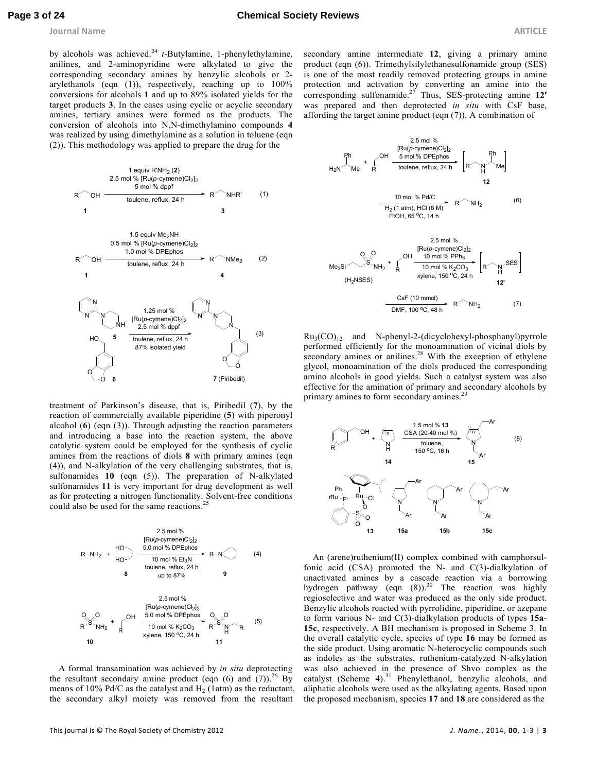**Journal Name ARTICLE** 

by alcohols was achieved.<sup>24</sup> *t*-Butylamine, 1-phenylethylamine, anilines, and 2-aminopyridine were alkylated to give the corresponding secondary amines by benzylic alcohols or 2 arylethanols (eqn (1)), respectively, reaching up to 100% conversions for alcohols **1** and up to 89% isolated yields for the target products **3**. In the cases using cyclic or acyclic secondary amines, tertiary amines were formed as the products. The conversion of alcohols into N,N-dimethylamino compounds **4** was realized by using dimethylamine as a solution in toluene (eqn (2)). This methodology was applied to prepare the drug for the



treatment of Parkinson's disease, that is, Piribedil (**7**), by the reaction of commercially available piperidine (**5**) with piperonyl alcohol (**6**) (eqn (3)). Through adjusting the reaction parameters and introducing a base into the reaction system, the above catalytic system could be employed for the synthesis of cyclic amines from the reactions of diols **8** with primary amines (eqn (4)), and N-alkylation of the very challenging substrates, that is, sulfonamides **10** (eqn (5)). The preparation of N-alkylated sulfonamides **11** is very important for drug development as well as for protecting a nitrogen functionality. Solvent-free conditions could also be used for the same reactions.<sup>2</sup>



A formal transamination was achieved by *in situ* deprotecting the resultant secondary amine product (eqn  $(6)$  and  $(7)$ ).<sup>26</sup> By means of 10% Pd/C as the catalyst and  $H_2$  (1atm) as the reductant, the secondary alkyl moiety was removed from the resultant

secondary amine intermediate **12**, giving a primary amine product (eqn (6)). Trimethylsilylethanesulfonamide group (SES) is one of the most readily removed protecting groups in amine protection and activation by converting an amine into the corresponding sulfonamide.<sup>27</sup> Thus, SES-protecting amine  $12'$ was prepared and then deprotected *in situ* with CsF base, affording the target amine product (eqn (7)). A combination of



 $Ru<sub>3</sub>(CO)<sub>12</sub>$  and N-phenyl-2-(dicyclohexyl-phosphanyl)pyrrole performed efficiently for the monoamination of vicinal diols by  $\frac{1}{2}$  secondary amines or anilines.<sup>28</sup> With the exception of ethylene glycol, monoamination of the diols produced the corresponding amino alcohols in good yields. Such a catalyst system was also effective for the amination of primary and secondary alcohols by primary amines to form secondary amines.<sup>2</sup>



An (arene)ruthenium(II) complex combined with camphorsulfonic acid (CSA) promoted the N- and C(3)-dialkylation of unactivated amines by a cascade reaction via a borrowing hydrogen pathway (eqn  $(8)$ ).<sup>30</sup> The reaction was highly regioselective and water was produced as the only side product. Benzylic alcohols reacted with pyrrolidine, piperidine, or azepane to form various N- and C(3)-dialkylation products of types **15a**-**15c**, respectively. A BH mechanism is proposed in Scheme 3. In the overall catalytic cycle, species of type **16** may be formed as the side product. Using aromatic N-heterocyclic compounds such as indoles as the substrates, ruthenium-catalyzed N-alkylation was also achieved in the presence of Shvo complex as the catalyst (Scheme 4).<sup>31</sup> Phenylethanol, benzylic alcohols, and aliphatic alcohols were used as the alkylating agents. Based upon the proposed mechanism, species **17** and **18** are considered as the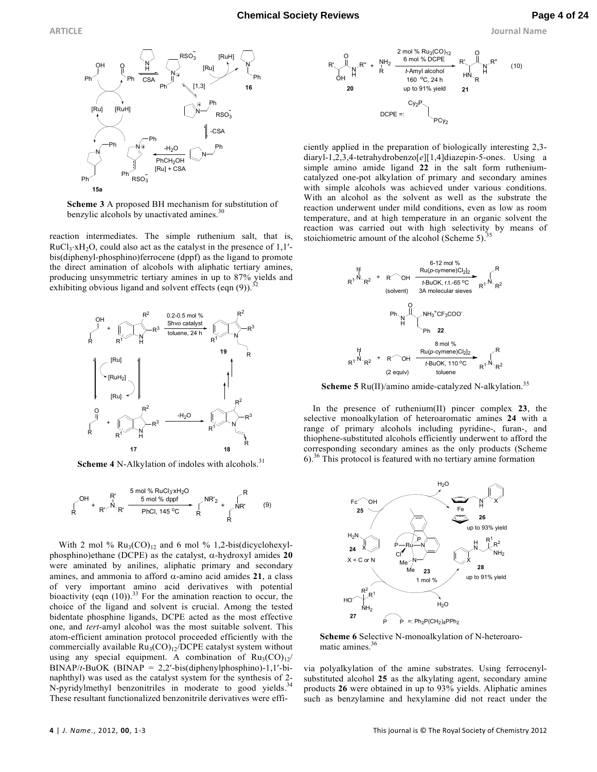**ARTICLE Journal Name**



**Scheme 3** A proposed BH mechanism for substitution of benzylic alcohols by unactivated amines.<sup>30</sup>

reaction intermediates. The simple ruthenium salt, that is,  $RuCl<sub>3</sub>·xH<sub>2</sub>O$ , could also act as the catalyst in the presence of 1,1'bis(diphenyl-phosphino)ferrocene (dppf) as the ligand to promote the direct amination of alcohols with aliphatic tertiary amines, producing unsymmetric tertiary amines in up to 87% yields and exhibiting obvious ligand and solvent effects (eqn  $(9)$ ).<sup>32</sup>



**Scheme 4** N-Alkylation of indoles with alcohols.<sup>31</sup>



With 2 mol %  $Ru_3(CO)_{12}$  and 6 mol % 1,2-bis(dicyclohexylphosphino)ethane (DCPE) as the catalyst, α-hydroxyl amides **20** were aminated by anilines, aliphatic primary and secondary amines, and ammonia to afford α-amino acid amides **21**, a class of very important amino acid derivatives with potential bioactivity (eqn  $(10)$ ).<sup>33</sup> For the amination reaction to occur, the choice of the ligand and solvent is crucial. Among the tested bidentate phosphine ligands, DCPE acted as the most effective one, and *tert*-amyl alcohol was the most suitable solvent. This atom-efficient amination protocol proceeded efficiently with the commercially available  $Ru_3(CO)_{12}/DCPE$  catalyst system without using any special equipment. A combination of  $Ru_3(CO)_{12}/$ BINAP/*t*-BuOK (BINAP = 2,2′-bis(diphenylphosphino)-1,1′-binaphthyl) was used as the catalyst system for the synthesis of 2- N-pyridylmethyl benzonitriles in moderate to good yields.<sup>34</sup> These resultant functionalized benzonitrile derivatives were effi-



ciently applied in the preparation of biologically interesting 2,3 diaryl-1,2,3,4-tetrahydrobenzo[*e*][1,4]diazepin-5-ones. Using a simple amino amide ligand **22** in the salt form rutheniumcatalyzed one-pot alkylation of primary and secondary amines with simple alcohols was achieved under various conditions. With an alcohol as the solvent as well as the substrate the reaction underwent under mild conditions, even as low as room temperature, and at high temperature in an organic solvent the reaction was carried out with high selectivity by means of stoichiometric amount of the alcohol (Scheme 5).



**Scheme 5** Ru(II)/amino amide-catalyzed N-alkylation.<sup>35</sup>

In the presence of ruthenium(II) pincer complex **23**, the selective monoalkylation of heteroaromatic amines **24** with a range of primary alcohols including pyridine-, furan-, and thiophene-substituted alcohols efficiently underwent to afford the corresponding secondary amines as the only products (Scheme  $6$ .<sup>36</sup> This protocol is featured with no tertiary amine formation



**Scheme 6** Selective N-monoalkylation of N-heteroaromatic amines.<sup>36</sup>

via polyalkylation of the amine substrates. Using ferrocenylsubstituted alcohol **25** as the alkylating agent, secondary amine products **26** were obtained in up to 93% yields. Aliphatic amines such as benzylamine and hexylamine did not react under the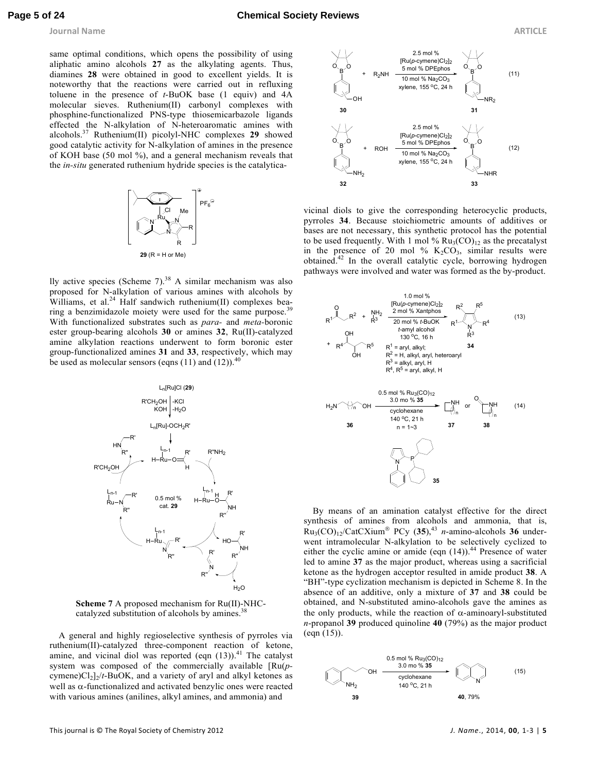same optimal conditions, which opens the possibility of using aliphatic amino alcohols **27** as the alkylating agents. Thus, diamines **28** were obtained in good to excellent yields. It is noteworthy that the reactions were carried out in refluxing toluene in the presence of *t*-BuOK base (1 equiv) and 4A molecular sieves. Ruthenium(II) carbonyl complexes with phosphine-functionalized PNS-type thiosemicarbazole ligands effected the N-alkylation of N-heteroaromatic amines with alcohols.<sup>37</sup> Ruthenium(II) picolyl-NHC complexes **29** showed good catalytic activity for N-alkylation of amines in the presence of KOH base (50 mol %), and a general mechanism reveals that the *in-situ* generated ruthenium hydride species is the catalytica-



lly active species (Scheme 7). $38$  A similar mechanism was also proposed for N-alkylation of various amines with alcohols by Williams, et al.<sup>24</sup> Half sandwich ruthenium(II) complexes bearing a benzimidazole moiety were used for the same purpose.<sup>39</sup> With functionalized substrates such as *para-* and *meta-*boronic ester group-bearing alcohols **30** or amines **32**, Ru(II)-catalyzed amine alkylation reactions underwent to form boronic ester group-functionalized amines **31** and **33**, respectively, which may be used as molecular sensors (eqns  $(11)$  and  $(12)$ ).<sup>4</sup>





A general and highly regioselective synthesis of pyrroles via ruthenium(II)-catalyzed three-component reaction of ketone, amine, and vicinal diol was reported (eqn  $(13)$ ).<sup>41</sup> The catalyst system was composed of the commercially available [Ru(*p* $cymene$  $Cl<sub>2</sub>$  $/t$ -BuOK, and a variety of aryl and alkyl ketones as well as  $α$ -functionalized and activated benzylic ones were reacted with various amines (anilines, alkyl amines, and ammonia) and



vicinal diols to give the corresponding heterocyclic products, pyrroles **34**. Because stoichiometric amounts of additives or bases are not necessary, this synthetic protocol has the potential to be used frequently. With 1 mol %  $Ru_3(CO)_{12}$  as the precatalyst in the presence of 20 mol %  $K_2CO_3$ , similar results were obtained.<sup>42</sup> In the overall catalytic cycle, borrowing hydrogen pathways were involved and water was formed as the by-product.



By means of an amination catalyst effective for the direct synthesis of amines from alcohols and ammonia, that is,  $Ru_3(CO)_{12}/CatCXium^{\circledR} PCy$  (35),<sup>43</sup> *n*-amino-alcohols 36 underwent intramolecular N-alkylation to be selectively cyclized to either the cyclic amine or amide (eqn  $(14)$ ).<sup>44</sup> Presence of water led to amine **37** as the major product, whereas using a sacrificial ketone as the hydrogen acceptor resulted in amide product **38**. A "BH"-type cyclization mechanism is depicted in Scheme 8. In the absence of an additive, only a mixture of **37** and **38** could be obtained, and N-substituted amino-alcohols gave the amines as the only products, while the reaction of  $\alpha$ -aminoaryl-substituted *n*-propanol **39** produced quinoline **40** (79%) as the major product (eqn (15)).

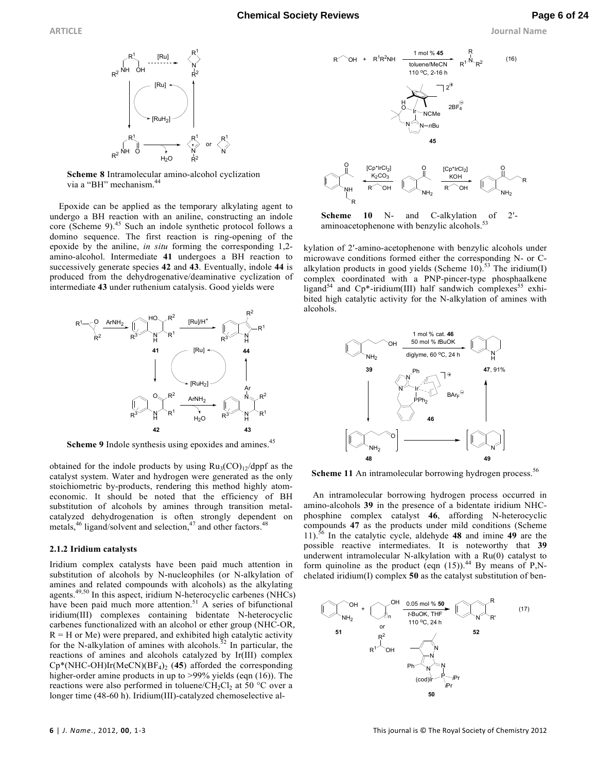



**Scheme 8** Intramolecular amino-alcohol cyclization via a "BH" mechanism.<sup>44</sup>

Epoxide can be applied as the temporary alkylating agent to undergo a BH reaction with an aniline, constructing an indole core (Scheme 9).<sup>45</sup> Such an indole synthetic protocol follows a domino sequence. The first reaction is ring-opening of the epoxide by the aniline, *in situ* forming the corresponding 1,2 amino-alcohol. Intermediate **41** undergoes a BH reaction to successively generate species **42** and **43**. Eventually, indole **44** is produced from the dehydrogenative/deaminative cyclization of intermediate **43** under ruthenium catalysis. Good yields were



Scheme 9 Indole synthesis using epoxides and amines.<sup>45</sup>

obtained for the indole products by using  $Ru_3(CO)_{12}/dppf$  as the catalyst system. Water and hydrogen were generated as the only stoichiometric by-products, rendering this method highly atomeconomic. It should be noted that the efficiency of BH substitution of alcohols by amines through transition metalcatalyzed dehydrogenation is often strongly dependent on metals, $46$  ligand/solvent and selection, $47$  and other factors. $48$ 

#### **2.1.2 Iridium catalysts**

Iridium complex catalysts have been paid much attention in substitution of alcohols by N-nucleophiles (or N-alkylation of amines and related compounds with alcohols) as the alkylating agents.49,50 In this aspect, iridium N-heterocyclic carbenes (NHCs) have been paid much more attention.<sup>51</sup> A series of bifunctional iridium(III) complexes containing bidentate N-heterocyclic carbenes functionalized with an alcohol or ether group (NHC-OR,  $R = H$  or Me) were prepared, and exhibited high catalytic activity for the N-alkylation of amines with alcohols.<sup>52</sup> In particular, the reactions of amines and alcohols catalyzed by Ir(III) complex Cp\*(NHC-OH)Ir(MeCN)(BF<sup>4</sup> )2 (**45**) afforded the corresponding higher-order amine products in up to >99% yields (eqn (16)). The reactions were also performed in toluene/ $CH_2Cl_2$  at 50 °C over a longer time (48-60 h). Iridium(III)-catalyzed chemoselective al-



**Scheme 10** N- and C-alkylation of 2′ aminoacetophenone with benzylic alcohols.<sup>53</sup>

kylation of 2′-amino-acetophenone with benzylic alcohols under microwave conditions formed either the corresponding N- or Calkylation products in good yields (Scheme 10).<sup>53</sup> The iridium(I) complex coordinated with a PNP-pincer-type phosphaalkene ligand<sup>54</sup> and Cp\*-iridium(III) half sandwich complexes<sup>55</sup> exhibited high catalytic activity for the N-alkylation of amines with alcohols.



**Scheme 11** An intramolecular borrowing hydrogen process.<sup>56</sup>

An intramolecular borrowing hydrogen process occurred in amino-alcohols **39** in the presence of a bidentate iridium NHCphosphine complex catalyst **46**, affording N-heterocyclic compounds **47** as the products under mild conditions (Scheme 11).<sup>56</sup> In the catalytic cycle, aldehyde **48** and imine **49** are the possible reactive intermediates. It is noteworthy that **39** underwent intramolecular N-alkylation with a Ru(0) catalyst to form quinoline as the product (eqn  $(15)$ ).<sup>44</sup> By means of P,Nchelated iridium(I) complex **50** as the catalyst substitution of ben-

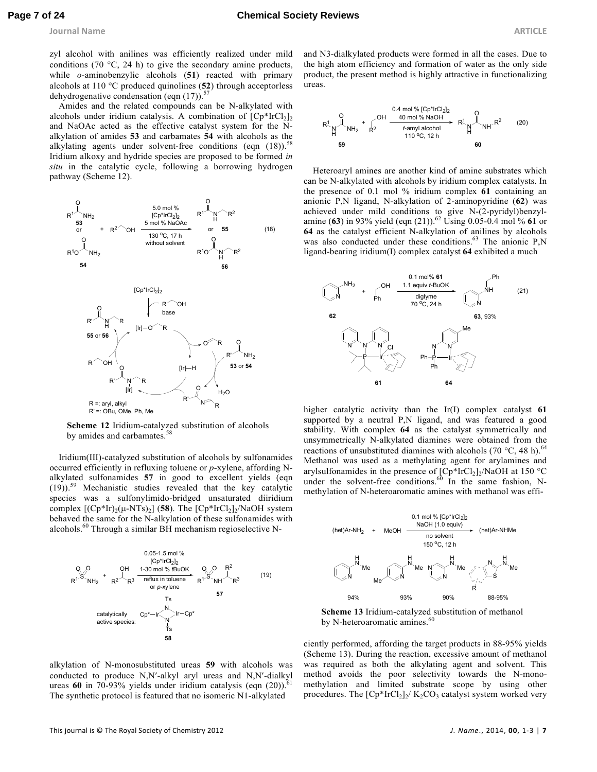**Journal Name ARTICLE** 

zyl alcohol with anilines was efficiently realized under mild conditions (70  $\degree$ C, 24 h) to give the secondary amine products, while *o*-aminobenzylic alcohols (**51**) reacted with primary alcohols at 110 °C produced quinolines (**52**) through acceptorless dehydrogenative condensation (eqn  $(17)$ ).<sup>57</sup>

Amides and the related compounds can be N-alkylated with alcohols under iridium catalysis. A combination of  $[Cp^*IrCl<sub>2</sub>]$ <sub>2</sub> and NaOAc acted as the effective catalyst system for the Nalkylation of amides **53** and carbamates **54** with alcohols as the alkylating agents under solvent-free conditions (eqn  $(18)$ ).<sup>58</sup> Iridium alkoxy and hydride species are proposed to be formed *in situ* in the catalytic cycle, following a borrowing hydrogen pathway (Scheme 12).



**Scheme 12** Iridium-catalyzed substitution of alcohols by amides and carbamates.<sup>58</sup>

Iridium(III)-catalyzed substitution of alcohols by sulfonamides occurred efficiently in refluxing toluene or *p*-xylene, affording Nalkylated sulfonamides **57** in good to excellent yields (eqn (19)).<sup>59</sup> Mechanistic studies revealed that the key catalytic species was a sulfonylimido-bridged unsaturated diiridium complex  $[(Cp*Ir)<sub>2</sub>(\mu-NTs)<sub>2</sub>]$  (**58**). The  $[Cp*IrCl<sub>2</sub>]<sub>2</sub>/NaOH$  system behaved the same for the N-alkylation of these sulfonamides with alcohols.<sup>60</sup> Through a similar BH mechanism regioselective N-



alkylation of N-monosubstituted ureas **59** with alcohols was conducted to produce N,N′-alkyl aryl ureas and N,N′-dialkyl ureas 60 in 70-93% yields under iridium catalysis (eqn (20)).<sup>4</sup> The synthetic protocol is featured that no isomeric N1-alkylated

and N3-dialkylated products were formed in all the cases. Due to the high atom efficiency and formation of water as the only side product, the present method is highly attractive in functionalizing ureas.

$$
R^{1}_{\text{H}}\text{NH}_{2} + \int_{R^{2}}^{0} \frac{0.4 \text{ mol % [Cp*IrCl}_{2}]_{2}}{40 \text{ mol % NaOH}} \cdot R^{1}_{\text{H}}\text{NH} \cdot R^{2}
$$
 (20)  
59  
59  
60

Heteroaryl amines are another kind of amine substrates which can be N-alkylated with alcohols by iridium complex catalysts. In the presence of 0.1 mol % iridium complex **61** containing an anionic P,N ligand, N-alkylation of 2-aminopyridine (**62**) was achieved under mild conditions to give N-(2-pyridyl)benzylamine (63) in 93% yield (eqn (21)).<sup>62</sup> Using 0.05-0.4 mol % 61 or **64** as the catalyst efficient N-alkylation of anilines by alcohols was also conducted under these conditions. $63$  The anionic P,N ligand-bearing iridium(I) complex catalyst **64** exhibited a much



higher catalytic activity than the Ir(I) complex catalyst **61** supported by a neutral P,N ligand, and was featured a good stability. With complex **64** as the catalyst symmetrically and unsymmetrically N-alkylated diamines were obtained from the reactions of unsubstituted diamines with alcohols (70  $^{\circ}$ C, 48 h).<sup>64</sup> Methanol was used as a methylating agent for arylamines and arylsulfonamides in the presence of  $[Cp*IrCl<sub>2</sub>]_2/NaOH$  at 150 °C under the solvent-free conditions.  $60$  In the same fashion, Nmethylation of N-heteroaromatic amines with methanol was effi-



**Scheme 13** Iridium-catalyzed substitution of methanol by N-heteroaromatic amines.<sup>60</sup>

ciently performed, affording the target products in 88-95% yields (Scheme 13). During the reaction, excessive amount of methanol was required as both the alkylating agent and solvent. This method avoids the poor selectivity towards the N-monomethylation and limited substrate scope by using other procedures. The  $[Cp*IrCl<sub>2</sub>]_{2}/K_{2}CO_{3}$  catalyst system worked very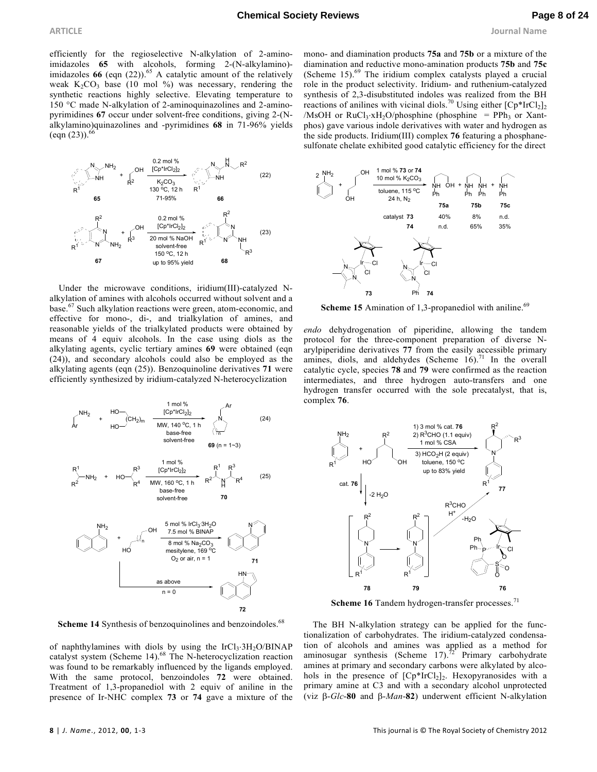**ARTICLE Journal Name**

efficiently for the regioselective N-alkylation of 2-aminoimidazoles **65** with alcohols, forming 2-(N-alkylamino) imidazoles  $66$  (eqn  $(22)$ ).<sup>65</sup> A catalytic amount of the relatively weak  $K_2CO_3$  base (10 mol %) was necessary, rendering the synthetic reactions highly selective. Elevating temperature to 150 °C made N-alkylation of 2-aminoquinazolines and 2-aminopyrimidines **67** occur under solvent-free conditions, giving 2-(Nalkylamino)quinazolines and -pyrimidines **68** in 71-96% yields  $(eqn (23))$ .



Under the microwave conditions, iridium(III)-catalyzed Nalkylation of amines with alcohols occurred without solvent and a base.<sup>67</sup> Such alkylation reactions were green, atom-economic, and effective for mono-, di-, and trialkylation of amines, and reasonable yields of the trialkylated products were obtained by means of 4 equiv alcohols. In the case using diols as the alkylating agents, cyclic tertiary amines **69** were obtained (eqn (24)), and secondary alcohols could also be employed as the alkylating agents (eqn (25)). Benzoquinoline derivatives **71** were efficiently synthesized by iridium-catalyzed N-heterocyclization



**Scheme 14** Synthesis of benzoquinolines and benzoindoles.<sup>68</sup>

of naphthylamines with diols by using the  $IrCl<sub>3</sub>·3H<sub>2</sub>O/BINAP$ catalyst system (Scheme  $14$ ).<sup>68</sup> The N-heterocyclization reaction was found to be remarkably influenced by the ligands employed. With the same protocol, benzoindoles **72** were obtained. Treatment of 1,3-propanediol with 2 equiv of aniline in the presence of Ir-NHC complex **73** or **74** gave a mixture of the

mono- and diamination products **75a** and **75b** or a mixture of the diamination and reductive mono-amination products **75b** and **75c** (Scheme  $15)$ <sup>69</sup>. The iridium complex catalysts played a crucial role in the product selectivity. Iridium- and ruthenium-catalyzed synthesis of 2,3-disubstituted indoles was realized from the BH reactions of anilines with vicinal diols.<sup>70</sup> Using either  $[Cp^*IrCl<sub>2</sub>]$ <sub>2</sub> /MsOH or  $RuCl_3 \tcdot xH_2O$ /phosphine (phosphine = PPh<sub>3</sub> or Xantphos) gave various indole derivatives with water and hydrogen as the side products. Iridium(III) complex **76** featuring a phosphanesulfonate chelate exhibited good catalytic efficiency for the direct



**Scheme 15** Amination of 1,3-propanediol with aniline.<sup>69</sup>

*endo* dehydrogenation of piperidine, allowing the tandem protocol for the three-component preparation of diverse Narylpiperidine derivatives **77** from the easily accessible primary amines, diols, and aldehydes (Scheme  $16$ ).<sup>71</sup> In the overall catalytic cycle, species **78** and **79** were confirmed as the reaction intermediates, and three hydrogen auto-transfers and one hydrogen transfer occurred with the sole precatalyst, that is, complex **76**.



Scheme 16 Tandem hydrogen-transfer processes.<sup>71</sup>

The BH N-alkylation strategy can be applied for the functionalization of carbohydrates. The iridium-catalyzed condensation of alcohols and amines was applied as a method for aminosugar synthesis (Scheme 17).<sup> $72^{\star}$ </sup> Primary carbohydrate amines at primary and secondary carbons were alkylated by alcohols in the presence of  $[Cp*IrCl<sub>2</sub>]$ . Hexopyranosides with a primary amine at C3 and with a secondary alcohol unprotected (viz β-*Glc*-**80** and β-*Man*-**82**) underwent efficient N-alkylation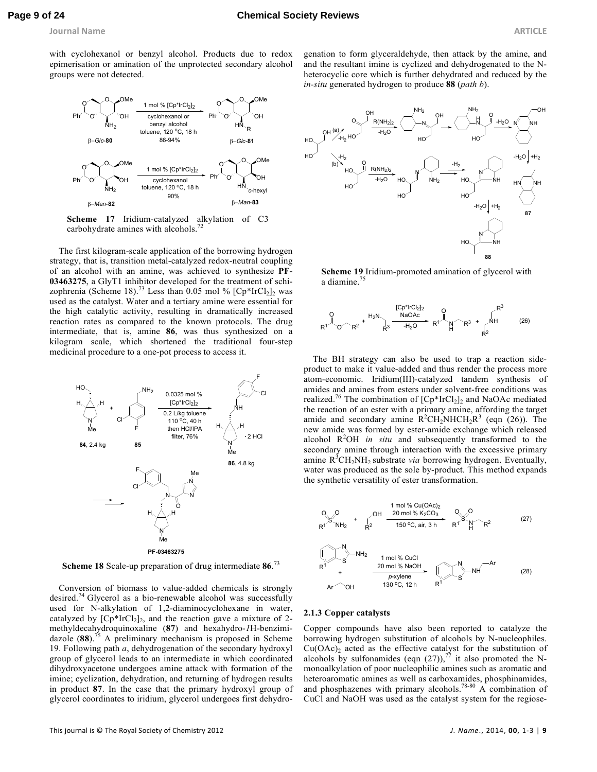**Journal Name ARTICLE** 

with cyclohexanol or benzyl alcohol. Products due to redox epimerisation or amination of the unprotected secondary alcohol groups were not detected.



**Scheme 17** Iridium-catalyzed alkylation of C3 carbohydrate amines with alcohols.<sup>72</sup>

The first kilogram-scale application of the borrowing hydrogen strategy, that is, transition metal-catalyzed redox-neutral coupling of an alcohol with an amine, was achieved to synthesize **PF-03463275**, a GlyT1 inhibitor developed for the treatment of schizophrenia (Scheme 18).<sup>73</sup> Less than 0.05 mol %  $[Cp*IrCl<sub>2</sub>]$ <sub>2</sub> was used as the catalyst. Water and a tertiary amine were essential for the high catalytic activity, resulting in dramatically increased reaction rates as compared to the known protocols. The drug intermediate, that is, amine **86**, was thus synthesized on a kilogram scale, which shortened the traditional four-step medicinal procedure to a one-pot process to access it.



**Scheme 18** Scale-up preparation of drug intermediate **86**. 73

Conversion of biomass to value-added chemicals is strongly desired.<sup>74</sup> Glycerol as a bio-renewable alcohol was successfully used for N-alkylation of 1,2-diaminocyclohexane in water, catalyzed by  $[Cp*IrCl<sub>2</sub>]_{2}$ , and the reaction gave a mixture of 2methyldecahydroquinoxaline (**87**) and hexahydro-*1*H-benzimidazole (**88**).<sup>75</sup> A preliminary mechanism is proposed in Scheme 19. Following path *a*, dehydrogenation of the secondary hydroxyl group of glycerol leads to an intermediate in which coordinated dihydroxyacetone undergoes amine attack with formation of the imine; cyclization, dehydration, and returning of hydrogen results in product **87**. In the case that the primary hydroxyl group of glycerol coordinates to iridium, glycerol undergoes first dehydrogenation to form glyceraldehyde, then attack by the amine, and and the resultant imine is cyclized and dehydrogenated to the Nheterocyclic core which is further dehydrated and reduced by the *in-situ* generated hydrogen to produce **88** (*path b*).



**Scheme 19** Iridium-promoted amination of glycerol with a diamine.<sup>75</sup>

$$
R^{1} \sim R^{2} + \sum_{R^{3}}^{R^{3}} \frac{[Cp^{*}IrCl_{2}]_{2}}{r^{3} \cdot \frac{NaOAc}{r^{4} \cdot \frac{1}{2}} R^{1}} R^{3} \cdot R^{3} + \sum_{R^{2}}^{R^{3}} \frac{R^{3}}{r^{2}} \qquad (26)
$$

The BH strategy can also be used to trap a reaction sideproduct to make it value-added and thus render the process more atom-economic. Iridium(III)-catalyzed tandem synthesis of amides and amines from esters under solvent-free conditions was realized.<sup>76</sup> The combination of  $[Cp*IrCl<sub>2</sub>]$  and NaOAc mediated the reaction of an ester with a primary amine, affording the target amide and secondary amine  $R^2CH_2NHCH_2R^3$  (eqn (26)). The new amide was formed by ester-amide exchange which released alcohol R<sup>2</sup>OH *in situ* and subsequently transformed to the secondary amine through interaction with the excessive primary amine  $R^3CH_2NH_2$  substrate *via* borrowing hydrogen. Eventually, water was produced as the sole by-product. This method expands the synthetic versatility of ester transformation.

$$
O_{0,0}O_{0,1} + O_{0}H_{2} \frac{1 \text{ mol } \% \text{ Cu(OAc)}_{2}}{150 \text{ °C, air, 3 h}} \frac{O_{0,0}O_{0,0}}{R^{1}} \frac{1 \text{ mol } \% \text{ Cu(OAc)}_{2}}{R^{2}}
$$
(27)

$$
R1 \times S
$$
 NH<sub>2</sub> 1 mol % CuCl  
\n
$$
R1 + \frac{20 mol % NaOH}{\rho\times 20 mol % NaOH} \times S
$$
 NH (28)  
\n
$$
Ar \text{OH} \qquad 130 °C, 12 h \qquad R1 \qquad S
$$

#### **2.1.3 Copper catalysts**

Copper compounds have also been reported to catalyze the borrowing hydrogen substitution of alcohols by N-nucleophiles.  $Cu(OAc)_2$  acted as the effective catalyst for the substitution of alcohols by sulfonamides (eqn  $(27)$ ),<sup>77</sup> it also promoted the Nmonoalkylation of poor nucleophilic amines such as aromatic and heteroaromatic amines as well as carboxamides, phosphinamides, and phosphazenes with primary alcohols.<sup>78-80</sup>  $\overrightarrow{A}$  combination of CuCl and NaOH was used as the catalyst system for the regiose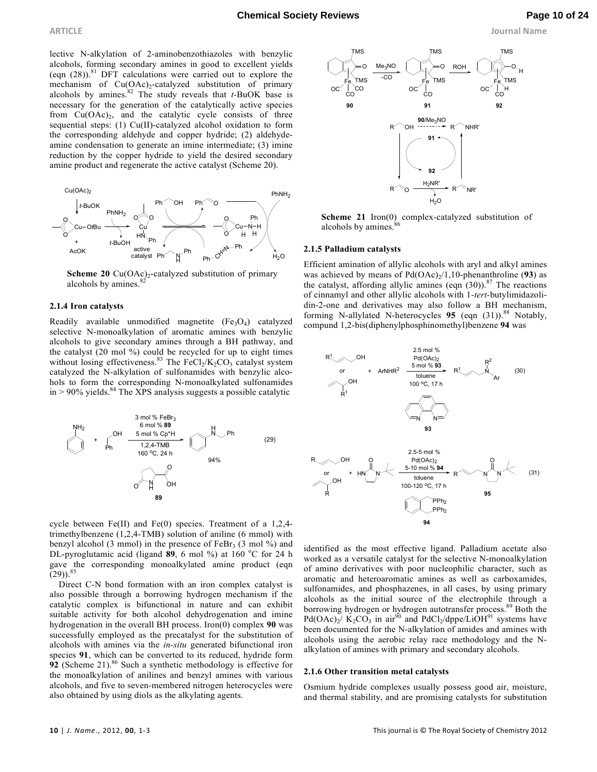**ARTICLE Journal Name**

lective N-alkylation of 2-aminobenzothiazoles with benzylic alcohols, forming secondary amines in good to excellent yields (eqn  $(28)$ ).<sup>81</sup> DFT calculations were carried out to explore the mechanism of  $Cu(OAc)<sub>2</sub>$ -catalyzed substitution of primary alcohols by amines.<sup>82</sup> The study reveals that *t*-BuOK base is necessary for the generation of the catalytically active species from  $Cu(OAc)_2$ , and the catalytic cycle consists of three sequential steps: (1) Cu(II)-catalyzed alcohol oxidation to form the corresponding aldehyde and copper hydride; (2) aldehydeamine condensation to generate an imine intermediate; (3) imine reduction by the copper hydride to yield the desired secondary amine product and regenerate the active catalyst (Scheme 20).



**Scheme 20**  $Cu(OAc)<sub>2</sub>$ -catalyzed substitution of primary alcohols by amines.<sup>82</sup>

#### **2.1.4 Iron catalysts**

Readily available unmodified magnetite  $(Fe<sub>3</sub>O<sub>4</sub>)$  catalyzed selective N-monoalkylation of aromatic amines with benzylic alcohols to give secondary amines through a BH pathway, and the catalyst (20 mol %) could be recycled for up to eight times without losing effectiveness.<sup>83</sup> The FeCl<sub>2</sub>/K<sub>2</sub>CO<sub>3</sub> catalyst system catalyzed the N-alkylation of sulfonamides with benzylic alcohols to form the corresponding N-monoalkylated sulfonamides  $in > 90\%$  yields.<sup>84</sup> The XPS analysis suggests a possible catalytic



cycle between Fe(II) and Fe(0) species. Treatment of a 1,2,4 trimethylbenzene (1,2,4-TMB) solution of aniline (6 mmol) with benzyl alcohol (3 mmol) in the presence of  $FeBr<sub>3</sub>$  (3 mol %) and DL-pyroglutamic acid (ligand 89, 6 mol %) at 160 °C for 24 h gave the corresponding monoalkylated amine product (eqn  $(29)$ ).<sup>85</sup>

Direct C-N bond formation with an iron complex catalyst is also possible through a borrowing hydrogen mechanism if the catalytic complex is bifunctional in nature and can exhibit suitable activity for both alcohol dehydrogenation and imine hydrogenation in the overall BH process. Iron(0) complex **90** was successfully employed as the precatalyst for the substitution of alcohols with amines via the *in-situ* generated bifunctional iron species **91**, which can be converted to its reduced, hydride form **92** (Scheme 21).<sup>86</sup> Such a synthetic methodology is effective for the monoalkylation of anilines and benzyl amines with various alcohols, and five to seven-membered nitrogen heterocycles were also obtained by using diols as the alkylating agents.



**Scheme 21** Iron(0) complex-catalyzed substitution of alcohols by amines.<sup>8</sup>

#### **2.1.5 Palladium catalysts**

Efficient amination of allylic alcohols with aryl and alkyl amines was achieved by means of  $Pd(OAc)<sub>2</sub>/1,10$ -phenanthroline (93) as the catalyst, affording allylic amines (eqn  $(30)$ ).<sup>87</sup> The reactions of cinnamyl and other allylic alcohols with 1-*tert-*butylimidazolidin-2-one and derivatives may also follow a BH mechanism, forming N-allylated N-heterocycles 95 (eqn (31)).<sup>88</sup> Notably, compund 1,2-bis(diphenylphosphinomethyl)benzene **94** was



identified as the most effective ligand. Palladium acetate also worked as a versatile catalyst for the selective N-monoalkylation of amino derivatives with poor nucleophilic character, such as aromatic and heteroaromatic amines as well as carboxamides, sulfonamides, and phosphazenes, in all cases, by using primary alcohols as the initial source of the electrophile through a borrowing hydrogen or hydrogen autotransfer process. <sup>89</sup> Both the  $Pd(OAc)_2$ /  $K_2CO_3$  in air<sup>90</sup> and  $PdCl_2/dppe/LiOH^{91}$  systems have been documented for the N-alkylation of amides and amines with alcohols using the aerobic relay race methodology and the Nalkylation of amines with primary and secondary alcohols.

#### **2.1.6 Other transition metal catalysts**

Osmium hydride complexes usually possess good air, moisture, and thermal stability, and are promising catalysts for substitution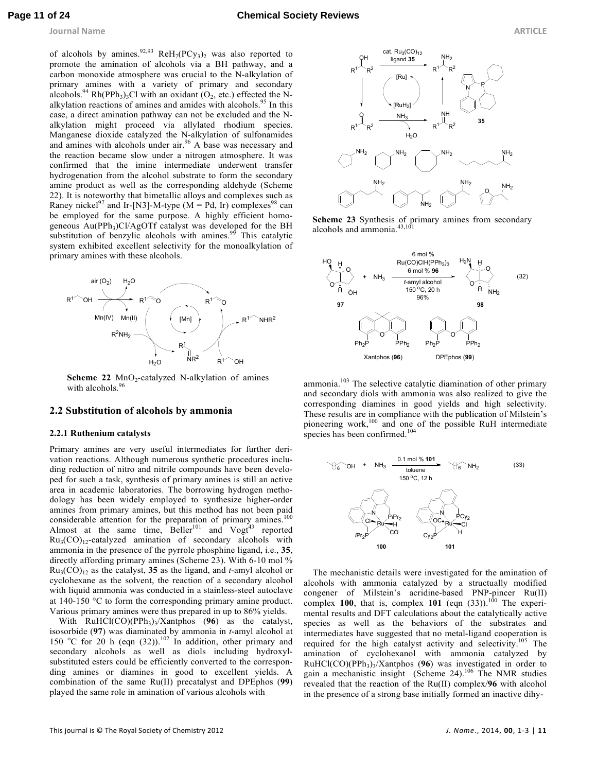of alcohols by amines.<sup>92,93</sup>  $ReH_7(PCy_3)_2$  was also reported to promote the amination of alcohols via a BH pathway, and a carbon monoxide atmosphere was crucial to the N-alkylation of primary amines with a variety of primary and secondary alcohols.<sup>94</sup> Rh(PPh<sub>3</sub>)<sub>3</sub>Cl with an oxidant  $(O_2, etc.)$  effected the Nalkylation reactions of amines and amides with alcohols.<sup>95</sup> In this case, a direct amination pathway can not be excluded and the Nalkylation might proceed via allylated rhodium species. Manganese dioxide catalyzed the N-alkylation of sulfonamides and amines with alcohols under air.<sup>96</sup> A base was necessary and the reaction became slow under a nitrogen atmosphere. It was confirmed that the imine intermediate underwent transfer hydrogenation from the alcohol substrate to form the secondary amine product as well as the corresponding aldehyde (Scheme 22). It is noteworthy that bimetallic alloys and complexes such as Raney nickel<sup>97</sup> and Ir-[N3]-M-type ( $M = Pd$ , Ir) complexes<sup>98</sup> can be employed for the same purpose. A highly efficient homogeneous Au(PPh<sub>3</sub>)Cl/AgOTf catalyst was developed for the BH substitution of benzylic alcohols with amines. $99$  This catalytic system exhibited excellent selectivity for the monoalkylation of primary amines with these alcohols.



**Scheme 22**  $\text{MnO}_2$ -catalyzed N-alkylation of amines with alcohols. $96$ 

#### **2.2 Substitution of alcohols by ammonia**

#### **2.2.1 Ruthenium catalysts**

Primary amines are very useful intermediates for further derivation reactions. Although numerous synthetic procedures including reduction of nitro and nitrile compounds have been developed for such a task, synthesis of primary amines is still an active area in academic laboratories. The borrowing hydrogen methodology has been widely employed to synthesize higher-order amines from primary amines, but this method has not been paid considerable attention for the preparation of primary amines.<sup>100</sup> Almost at the same time,  $B$ eller<sup>101</sup> and  $V$ ogt<sup>43</sup> reported  $Ru<sub>3</sub>(CO)<sub>12</sub>$ -catalyzed amination of secondary alcohols with ammonia in the presence of the pyrrole phosphine ligand, i.e., **35**, directly affording primary amines (Scheme 23). With 6-10 mol %  $Ru_3(CO)_{12}$  as the catalyst, 35 as the ligand, and *t*-amyl alcohol or cyclohexane as the solvent, the reaction of a secondary alcohol with liquid ammonia was conducted in a stainless-steel autoclave at 140-150 °C to form the corresponding primary amine product. Various primary amines were thus prepared in up to 86% yields.

With RuHCl(CO)(PPh<sub>3</sub>)<sub>3</sub>/Xantphos (96) as the catalyst, isosorbide (**97**) was diaminated by ammonia in *t*-amyl alcohol at 150  $^{\circ}$ C for 20 h (eqn (32)).<sup>102</sup> In addition, other primary and secondary alcohols as well as diols including hydroxylsubstituted esters could be efficiently converted to the corresponding amines or diamines in good to excellent yields. A combination of the same Ru(II) precatalyst and DPEphos (**99**) played the same role in amination of various alcohols with



**Scheme 23** Synthesis of primary amines from secondary alcohols and ammonia.<sup>43,101</sup>



ammonia.<sup>103</sup> The selective catalytic diamination of other primary and secondary diols with ammonia was also realized to give the corresponding diamines in good yields and high selectivity. These results are in compliance with the publication of Milstein's pioneering work,<sup>100</sup> and one of the possible RuH intermediate species has been confirmed.<sup>104</sup>



The mechanistic details were investigated for the amination of alcohols with ammonia catalyzed by a structually modified congener of Milstein's acridine-based PNP-pincer Ru(II) complex **100**, that is, complex **101** (eqn  $(33)$ ).<sup>100</sup> The experimental results and DFT calculations about the catalytically active species as well as the behaviors of the substrates and intermediates have suggested that no metal-ligand cooperation is required for the high catalyst activity and selectivity.<sup>105</sup> The amination of cyclohexanol with ammonia catalyzed by RuHCl(CO)(PPh<sup>3</sup> )3 /Xantphos (**96**) was investigated in order to gain a mechanistic insight (Scheme 24).<sup>106</sup> The NMR studies revealed that the reaction of the Ru(II) complex/**96** with alcohol in the presence of a strong base initially formed an inactive dihy-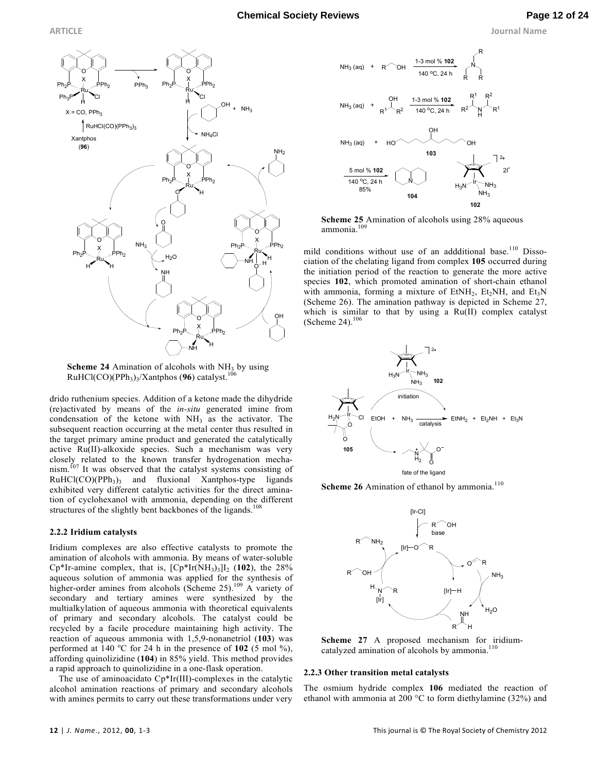

**Scheme 24** Amination of alcohols with  $NH<sub>3</sub>$  by using RuHCl(CO)(PPh<sub>3</sub>)<sub>3</sub>/Xantphos (96) catalyst.<sup>106</sup>

drido ruthenium species. Addition of a ketone made the dihydride (re)activated by means of the *in-situ* generated imine from condensation of the ketone with  $NH<sub>3</sub>$  as the activator. The subsequent reaction occurring at the metal center thus resulted in the target primary amine product and generated the catalytically active Ru(II)-alkoxide species. Such a mechanism was very closely related to the known transfer hydrogenation mechanism.<sup>107</sup> It was observed that the catalyst systems consisting of  $RuHCl(CO)(PPh<sub>3</sub>)<sub>3</sub>$  and fluxional Xantphos-type ligands exhibited very different catalytic activities for the direct amination of cyclohexanol with ammonia, depending on the different structures of the slightly bent backbones of the ligands.<sup>1</sup>

# **2.2.2 Iridium catalysts**

Iridium complexes are also effective catalysts to promote the amination of alcohols with ammonia. By means of water-soluble Cp<sup>\*</sup>Ir-amine complex, that is,  $[Cp*Ir(NH<sub>3</sub>)<sub>3</sub>]<sub>l<sub>2</sub></sub>$  (102), the 28% aqueous solution of ammonia was applied for the synthesis of higher-order amines from alcohols (Scheme 25).<sup>109</sup> A variety of secondary and tertiary amines were synthesized by the multialkylation of aqueous ammonia with theoretical equivalents of primary and secondary alcohols. The catalyst could be recycled by a facile procedure maintaining high activity. The reaction of aqueous ammonia with 1,5,9-nonanetriol (**103**) was performed at  $140^{\circ}$ C for 24 h in the presence of 102 (5 mol  $\%$ ), affording quinolizidine (**104**) in 85% yield. This method provides a rapid approach to quinolizidine in a one-flask operation.

The use of aminoacidato Cp\*Ir(III)-complexes in the catalytic alcohol amination reactions of primary and secondary alcohols with amines permits to carry out these transformations under very



**Scheme 25** Amination of alcohols using 28% aqueous ammonia.<sup>109</sup>

mild conditions without use of an addditional base.<sup>110</sup> Dissociation of the chelating ligand from complex **105** occurred during the initiation period of the reaction to generate the more active species **102**, which promoted amination of short-chain ethanol with ammonia, forming a mixture of  $EtNH_2$ ,  $Et_2NH$ , and  $Et_3N$ (Scheme 26). The amination pathway is depicted in Scheme 27, which is similar to that by using a Ru(II) complex catalyst (Scheme 24). $106$ 



**Scheme 26** Amination of ethanol by ammonia.<sup>110</sup>



**Scheme 27** A proposed mechanism for iridiumcatalyzed amination of alcohols by ammonia.<sup>116</sup>

# **2.2.3 Other transition metal catalysts**

The osmium hydride complex **106** mediated the reaction of ethanol with ammonia at 200 °C to form diethylamine (32%) and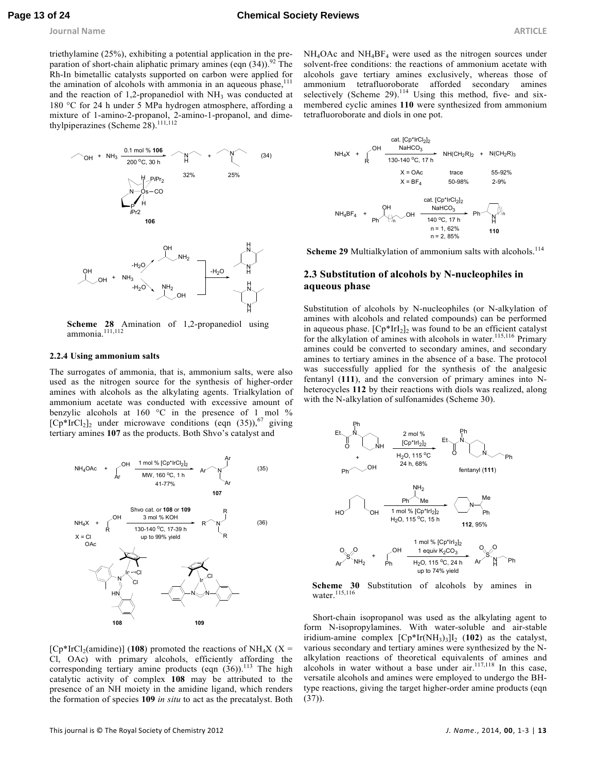triethylamine (25%), exhibiting a potential application in the preparation of short-chain aliphatic primary amines (eqn  $(34)$ ).<sup>92</sup> The Rh-In bimetallic catalysts supported on carbon were applied for the amination of alcohols with ammonia in an aqueous phase, $111$ and the reaction of 1,2-propanediol with  $NH<sub>3</sub>$  was conducted at 180 °C for 24 h under 5 MPa hydrogen atmosphere, affording a mixture of 1-amino-2-propanol, 2-amino-1-propanol, and dimethylpiperazines (Scheme 28).<sup>111,112</sup>



**Scheme 28** Amination of 1,2-propanediol using ammonia. $\overline{111,112}$ 

#### **2.2.4 Using ammonium salts**

The surrogates of ammonia, that is, ammonium salts, were also used as the nitrogen source for the synthesis of higher-order amines with alcohols as the alkylating agents. Trialkylation of ammonium acetate was conducted with excessive amount of benzylic alcohols at 160 °C in the presence of 1 mol %  $[Cp*IrCl<sub>2</sub>]$ <sub>2</sub> under microwave conditions (eqn (35)),<sup>67</sup> giving tertiary amines **107** as the products. Both Shvo's catalyst and



 $[Cp*IrCl<sub>2</sub>(amidine)]$  (108) promoted the reactions of NH<sub>4</sub>X (X = Cl, OAc) with primary alcohols, efficiently affording the corresponding tertiary amine products (eqn  $(36)$ ).<sup>113</sup> The high catalytic activity of complex **108** may be attributed to the presence of an NH moiety in the amidine ligand, which renders the formation of species **109** *in situ* to act as the precatalyst. Both

NH4OAc and NH4BF<sup>4</sup> were used as the nitrogen sources under solvent-free conditions: the reactions of ammonium acetate with alcohols gave tertiary amines exclusively, whereas those of ammonium tetrafluoroborate afforded secondary amines selectively (Scheme 29). $^{114}$  Using this method, five- and sixmembered cyclic amines **110** were synthesized from ammonium tetrafluoroborate and diols in one pot.



Scheme 29 Multialkylation of ammonium salts with alcohols.<sup>114</sup>

# **2.3 Substitution of alcohols by N-nucleophiles in aqueous phase**

Substitution of alcohols by N-nucleophiles (or N-alkylation of amines with alcohols and related compounds) can be performed in aqueous phase.  $[Cp^*IrI_2]_2$  was found to be an efficient catalyst for the alkylation of amines with alcohols in water.<sup>115,116</sup> Primary amines could be converted to secondary amines, and secondary amines to tertiary amines in the absence of a base. The protocol was successfully applied for the synthesis of the analgesic fentanyl (**111**), and the conversion of primary amines into Nheterocycles **112** by their reactions with diols was realized, along with the N-alkylation of sulfonamides (Scheme 30).



**Scheme 30** Substitution of alcohols by amines in water.<sup>115,116</sup>

Short-chain isopropanol was used as the alkylating agent to form N-isopropylamines. With water-soluble and air-stable iridium-amine complex  $[Cp*Ir(NH<sub>3</sub>)<sub>3</sub>]<sub>l<sub>2</sub></sub>$  (102) as the catalyst, various secondary and tertiary amines were synthesized by the Nalkylation reactions of theoretical equivalents of amines and alcohols in water without a base under air. $117,118$  In this case, versatile alcohols and amines were employed to undergo the BHtype reactions, giving the target higher-order amine products (eqn  $(37)$ ).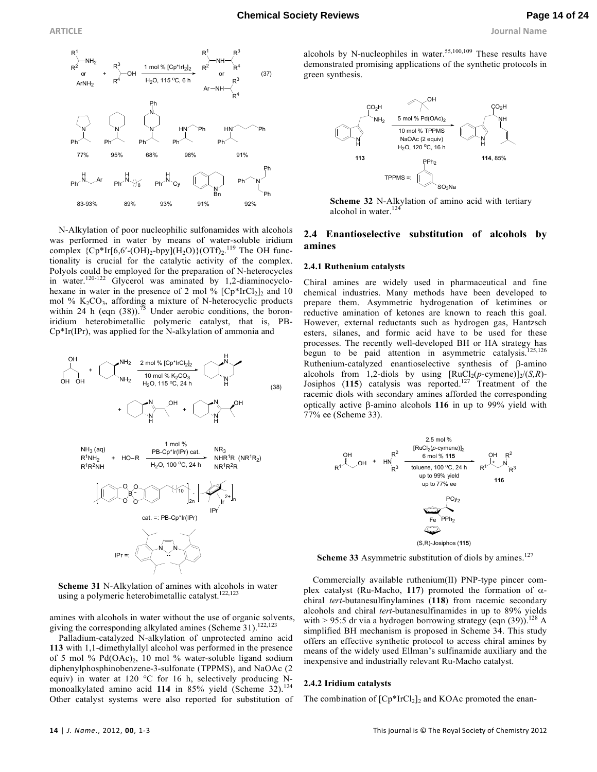

N-Alkylation of poor nucleophilic sulfonamides with alcohols was performed in water by means of water-soluble iridium complex  ${Cp*Ir[6,6'-(OH)_2-bpy]}(H_2O){(OTf)_2}.^{119}$  The OH functionality is crucial for the catalytic activity of the complex. Polyols could be employed for the preparation of N-heterocycles in water.120-122 Glycerol was aminated by 1,2-diaminocyclohexane in water in the presence of 2 mol %  $[Cp*IrCl<sub>2</sub>]$  and 10 mol %  $K_2CO_3$ , affording a mixture of N-heterocyclic products within 24 h (eqn (38)).<sup>75</sup> Under aerobic conditions, the boroniridium heterobimetallic polymeric catalyst, that is, PB-Cp\*Ir(IPr), was applied for the N-alkylation of ammonia and



**Scheme 31** N-Alkylation of amines with alcohols in water using a polymeric heterobimetallic catalyst.<sup>122,123</sup>

amines with alcohols in water without the use of organic solvents, giving the corresponding alkylated amines (Scheme 31).<sup>122,123</sup>

Palladium-catalyzed N-alkylation of unprotected amino acid **113** with 1,1-dimethylallyl alcohol was performed in the presence of 5 mol %  $Pd(OAc)_2$ , 10 mol % water-soluble ligand sodium diphenylphosphinobenzene-3-sulfonate (TPPMS), and NaOAc (2 equiv) in water at 120  $\degree$ C for 16 h, selectively producing Nmonoalkylated amino acid 114 in 85% yield (Scheme 32).<sup>124</sup> Other catalyst systems were also reported for substitution of

alcohols by N-nucleophiles in water.<sup>55,100,109</sup> These results have demonstrated promising applications of the synthetic protocols in green synthesis.



**Scheme 32** N-Alkylation of amino acid with tertiary alcohol in water.<sup>124</sup>

# **2.4 Enantioselective substitution of alcohols by amines**

#### **2.4.1 Ruthenium catalysts**

Chiral amines are widely used in pharmaceutical and fine chemical industries. Many methods have been developed to prepare them. Asymmetric hydrogenation of ketimines or reductive amination of ketones are known to reach this goal. However, external reductants such as hydrogen gas, Hantzsch esters, silanes, and formic acid have to be used for these processes. The recently well-developed BH or HA strategy has begun to be paid attention in asymmetric catalysis.<sup>125,126</sup> Ruthenium-catalyzed enantioselective synthesis of β-amino alcohols from 1,2-diols by using  $[RuCl_2(p\text{-symene})]_2/(S,R)$ -Josiphos (**115**) catalysis was reported.<sup>127</sup> Treatment of the racemic diols with secondary amines afforded the corresponding optically active β-amino alcohols **116** in up to 99% yield with 77% ee (Scheme 33).



**Scheme 33** Asymmetric substitution of diols by amines.<sup>127</sup>

Commercially available ruthenium(II) PNP-type pincer complex catalyst (Ru-Macho, **117**) promoted the formation of αchiral *tert*-butanesulfinylamines (**118**) from racemic secondary alcohols and chiral *tert*-butanesulfinamides in up to 89% yields with > 95:5 dr via a hydrogen borrowing strategy (eqn  $(39)$ ).<sup>128</sup> A simplified BH mechanism is proposed in Scheme 34. This study offers an effective synthetic protocol to access chiral amines by means of the widely used Ellman's sulfinamide auxiliary and the inexpensive and industrially relevant Ru-Macho catalyst.

#### **2.4.2 Iridium catalysts**

The combination of  $[Cp^*IrCl<sub>2</sub>]$  and KOAc promoted the enan-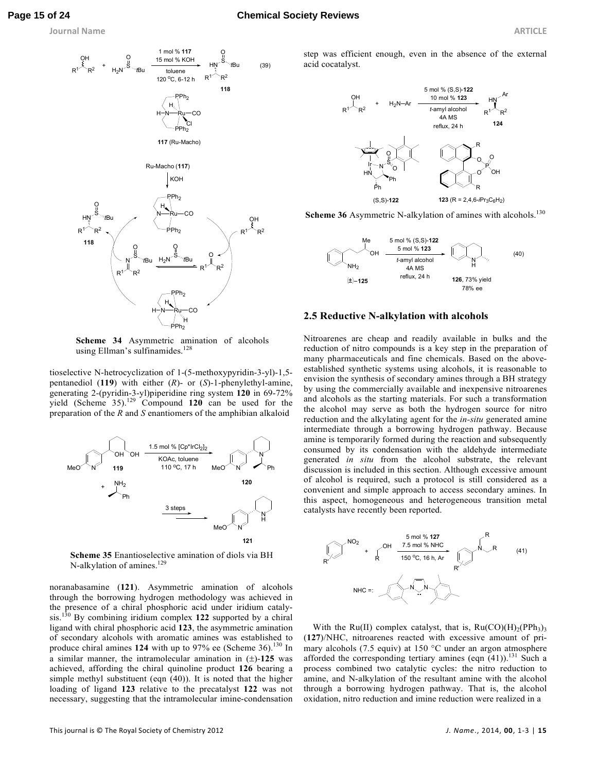### **Page 15 of 24 Chemical Society Reviews**

**Journal Name ARTICLE** 



**Scheme 34** Asymmetric amination of alcohols using Ellman's sulfinamides.<sup>128</sup>

tioselective N-hetrocyclization of 1-(5-methoxypyridin-3-yl)-1,5 pentanediol (**119**) with either (*R*)- or (*S*)-1-phenylethyl-amine, generating 2-(pyridin-3-yl)piperidine ring system **120** in 69-72% yield (Scheme 35).<sup>129</sup> Compound **120** can be used for the preparation of the *R* and *S* enantiomers of the amphibian alkaloid



**Scheme 35** Enantioselective amination of diols via BH N-alkylation of amines.<sup>129</sup>

noranabasamine (**121**). Asymmetric amination of alcohols through the borrowing hydrogen methodology was achieved in the presence of a chiral phosphoric acid under iridium catalysis.<sup>130</sup> By combining iridium complex **122** supported by a chiral ligand with chiral phosphoric acid **123**, the asymmetric amination of secondary alcohols with aromatic amines was established to produce chiral amines 124 with up to 97% ee (Scheme 36).<sup>130</sup> In a similar manner, the intramolecular amination in (±)-**125** was achieved, affording the chiral quinoline product **126** bearing a simple methyl substituent (eqn (40)). It is noted that the higher loading of ligand **123** relative to the precatalyst **122** was not necessary, suggesting that the intramolecular imine-condensation

step was efficient enough, even in the absence of the external acid cocatalyst.



Scheme 36 Asymmetric N-alkylation of amines with alcohols.<sup>130</sup>



#### **2.5 Reductive N-alkylation with alcohols**

Nitroarenes are cheap and readily available in bulks and the reduction of nitro compounds is a key step in the preparation of many pharmaceuticals and fine chemicals. Based on the aboveestablished synthetic systems using alcohols, it is reasonable to envision the synthesis of secondary amines through a BH strategy by using the commercially available and inexpensive nitroarenes and alcohols as the starting materials. For such a transformation the alcohol may serve as both the hydrogen source for nitro reduction and the alkylating agent for the *in-situ* generated amine intermediate through a borrowing hydrogen pathway. Because amine is temporarily formed during the reaction and subsequently consumed by its condensation with the aldehyde intermediate generated *in situ* from the alcohol substrate, the relevant discussion is included in this section. Although excessive amount of alcohol is required, such a protocol is still considered as a convenient and simple approach to access secondary amines. In this aspect, homogeneous and heterogeneous transition metal catalysts have recently been reported.



With the Ru(II) complex catalyst, that is,  $Ru(CO)(H)<sub>2</sub>(PPh<sub>3</sub>)<sub>3</sub>$ (**127**)/NHC, nitroarenes reacted with excessive amount of primary alcohols (7.5 equiv) at 150 °C under an argon atmosphere afforded the corresponding tertiary amines (eqn  $(41)$ ).<sup>131</sup> Such a process combined two catalytic cycles: the nitro reduction to amine, and N-alkylation of the resultant amine with the alcohol through a borrowing hydrogen pathway. That is, the alcohol oxidation, nitro reduction and imine reduction were realized in a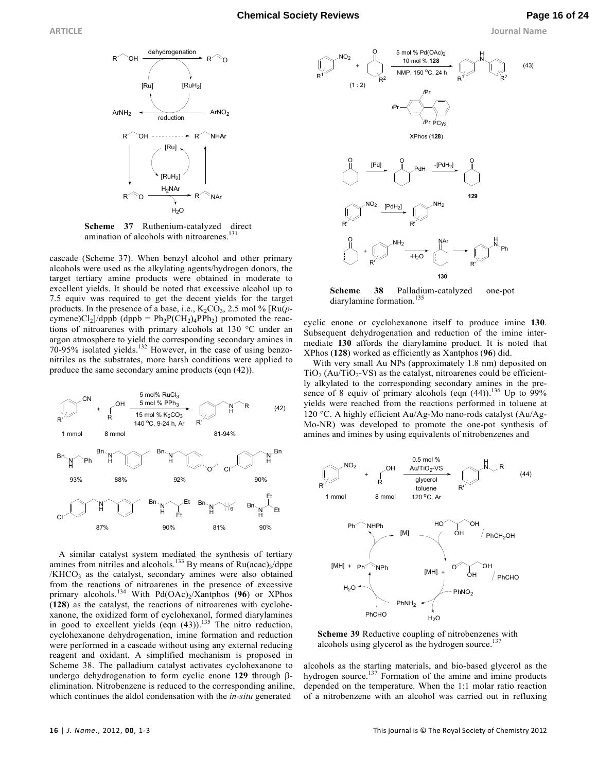

**Scheme 37** Ruthenium-catalyzed direct amination of alcohols with nitroarenes.<sup>131</sup>

cascade (Scheme 37). When benzyl alcohol and other primary alcohols were used as the alkylating agents/hydrogen donors, the target tertiary amine products were obtained in moderate to excellent yields. It should be noted that excessive alcohol up to 7.5 equiv was required to get the decent yields for the target products. In the presence of a base, i.e.,  $K_2CO_3$ , 2.5 mol % [ $Ru(p$ cymene) $Cl_2$ ]/dppb (dppb =  $Ph_2P(CH_2)_4PPh_2$ ) promoted the reactions of nitroarenes with primary alcohols at 130 °C under an argon atmosphere to yield the corresponding secondary amines in 70-95% isolated yields.<sup>132</sup> However, in the case of using benzonitriles as the substrates, more harsh conditions were applied to produce the same secondary amine products (eqn (42)).



A similar catalyst system mediated the synthesis of tertiary amines from nitriles and alcohols.<sup>133</sup> By means of  $Ru (acac)_3/dppe$ /KHCO<sub>3</sub> as the catalyst, secondary amines were also obtained from the reactions of nitroarenes in the presence of excessive primary alcohols.<sup>134</sup> With Pd(OAc)<sub>2</sub>/Xantphos (96) or XPhos (**128**) as the catalyst, the reactions of nitroarenes with cyclohexanone, the oxidized form of cyclohexanol, formed diarylamines in good to excellent yields  $(eqn (43))$ .<sup>135</sup> The nitro reduction, cyclohexanone dehydrogenation, imine formation and reduction were performed in a cascade without using any external reducing reagent and oxidant. A simplified mechanism is proposed in Scheme 38. The palladium catalyst activates cyclohexanone to undergo dehydrogenation to form cyclic enone **129** through βelimination. Nitrobenzene is reduced to the corresponding aniline, which continues the aldol condensation with the *in-situ* generated



**Scheme 38** Palladium-catalyzed one-pot diarylamine formation.<sup>135</sup>

cyclic enone or cyclohexanone itself to produce imine **130**. Subsequent dehydrogenation and reduction of the imine intermediate **130** affords the diarylamine product. It is noted that XPhos (**128**) worked as efficiently as Xantphos (**96**) did.

With very small Au NPs (approximately 1.8 nm) deposited on  $TiO<sub>2</sub> (Au/TiO<sub>2</sub>-VS)$  as the catalyst, nitroarenes could be efficiently alkylated to the corresponding secondary amines in the presence of 8 equiv of primary alcohols (eqn  $(44)$ ).<sup>136</sup> Up to 99% yields were reached from the reactions performed in toluene at 120 °C. A highly efficient Au/Ag-Mo nano-rods catalyst (Au/Ag-Mo-NR) was developed to promote the one-pot synthesis of amines and imines by using equivalents of nitrobenzenes and



**Scheme 39** Reductive coupling of nitrobenzenes with alcohols using glycerol as the hydrogen source.<sup>137</sup>

alcohols as the starting materials, and bio-based glycerol as the hydrogen source.<sup>137</sup> Formation of the amine and imine products depended on the temperature. When the 1:1 molar ratio reaction of a nitrobenzene with an alcohol was carried out in refluxing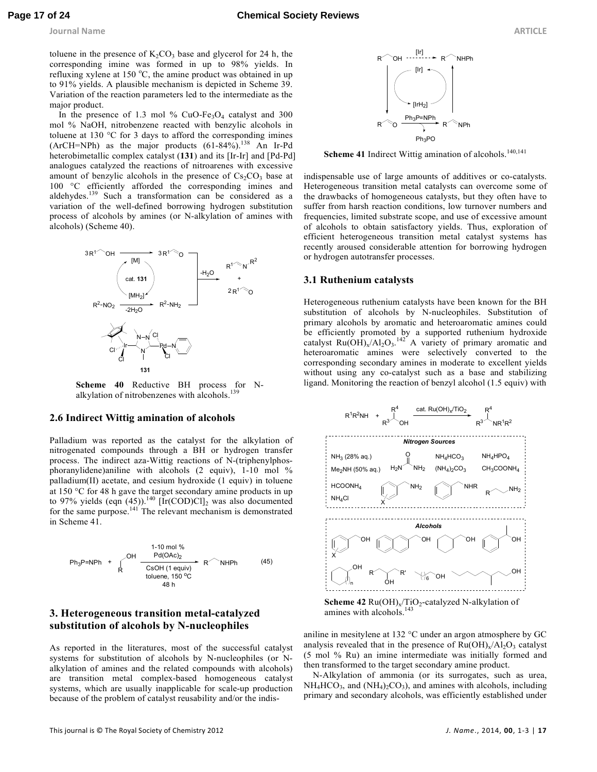toluene in the presence of  $K_2CO_3$  base and glycerol for 24 h, the corresponding imine was formed in up to 98% yields. In refluxing xylene at 150  $^{\circ}$ C, the amine product was obtained in up to 91% yields. A plausible mechanism is depicted in Scheme 39. Variation of the reaction parameters led to the intermediate as the major product.

In the presence of 1.3 mol %  $CuO-Fe<sub>3</sub>O<sub>4</sub>$  catalyst and 300 mol % NaOH, nitrobenzene reacted with benzylic alcohols in toluene at 130 °C for 3 days to afford the corresponding imines (ArCH=NPh) as the major products  $(61-84\%)$ <sup>138</sup> An Ir-Pd heterobimetallic complex catalyst (**131**) and its [Ir-Ir] and [Pd-Pd] analogues catalyzed the reactions of nitroarenes with excessive amount of benzylic alcohols in the presence of  $Cs_2CO_3$  base at 100 °C efficiently afforded the corresponding imines and aldehydes.<sup>139</sup> Such a transformation can be considered as a variation of the well-defined borrowing hydrogen substitution process of alcohols by amines (or N-alkylation of amines with alcohols) (Scheme 40).



**Scheme 40** Reductive BH process for Nalkylation of nitrobenzenes with alcohols.<sup>139</sup>

# **2.6 Indirect Wittig amination of alcohols**

Palladium was reported as the catalyst for the alkylation of nitrogenated compounds through a BH or hydrogen transfer process. The indirect aza-Wittig reactions of N-(triphenylphosphoranylidene)aniline with alcohols (2 equiv), 1-10 mol % palladium(II) acetate, and cesium hydroxide (1 equiv) in toluene at 150 °C for 48 h gave the target secondary amine products in up to 97% yields (eqn  $(45)$ ).<sup>140</sup> [Ir(COD)Cl]<sub>2</sub> was also documented for the same purpose.<sup>141</sup> The relevant mechanism is demonstrated in Scheme 41.



# **3. Heterogeneous transition metal-catalyzed substitution of alcohols by N-nucleophiles**

As reported in the literatures, most of the successful catalyst systems for substitution of alcohols by N-nucleophiles (or Nalkylation of amines and the related compounds with alcohols) are transition metal complex-based homogeneous catalyst systems, which are usually inapplicable for scale-up production because of the problem of catalyst reusability and/or the indis-



Scheme 41 Indirect Wittig amination of alcohols.<sup>140,141</sup>

indispensable use of large amounts of additives or co-catalysts. Heterogeneous transition metal catalysts can overcome some of the drawbacks of homogeneous catalysts, but they often have to suffer from harsh reaction conditions, low turnover numbers and frequencies, limited substrate scope, and use of excessive amount of alcohols to obtain satisfactory yields. Thus, exploration of efficient heterogeneous transition metal catalyst systems has recently aroused considerable attention for borrowing hydrogen or hydrogen autotransfer processes.

#### **3.1 Ruthenium catalysts**

Heterogeneous ruthenium catalysts have been known for the BH substitution of alcohols by N-nucleophiles. Substitution of primary alcohols by aromatic and heteroaromatic amines could be efficiently promoted by a supported ruthenium hydroxide catalyst  $Ru(OH)_x/Al_2O_3$ .<sup>142</sup> A variety of primary aromatic and heteroaromatic amines were selectively converted to the corresponding secondary amines in moderate to excellent yields without using any co-catalyst such as a base and stabilizing ligand. Monitoring the reaction of benzyl alcohol (1.5 equiv) with





aniline in mesitylene at 132 °C under an argon atmosphere by GC analysis revealed that in the presence of  $Ru(OH)_x/Al_2O_3$  catalyst (5 mol % Ru) an imine intermediate was initially formed and then transformed to the target secondary amine product.

N-Alkylation of ammonia (or its surrogates, such as urea,  $NH_4HCO_3$ , and  $(NH_4)_2CO_3$ ), and amines with alcohols, including primary and secondary alcohols, was efficiently established under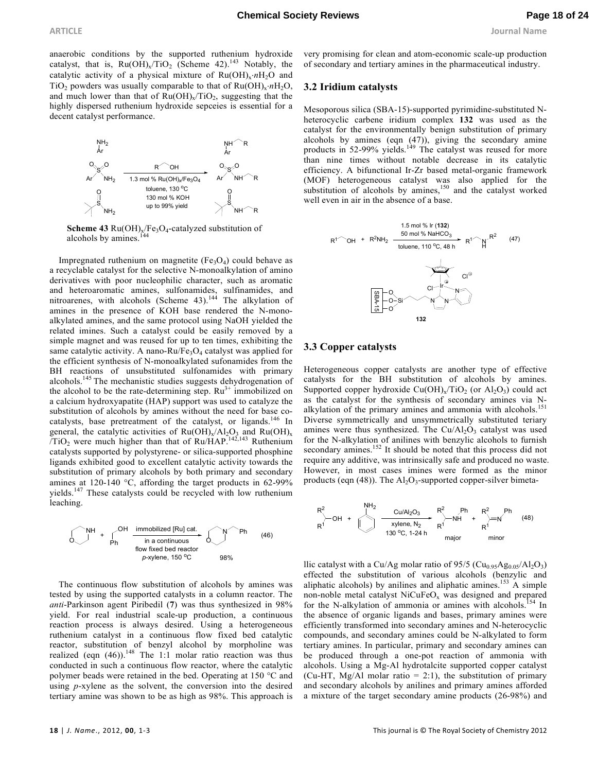anaerobic conditions by the supported ruthenium hydroxide catalyst, that is,  $Ru(OH)_x/TiO_2$  (Scheme 42).<sup>143</sup> Notably, the catalytic activity of a physical mixture of Ru(OH)<sup>x</sup> ⋅*n*H2O and TiO<sub>2</sub> powders was usually comparable to that of  $Ru(OH)_x \cdot nH_2O$ , and much lower than that of  $Ru(OH)_x/TiO_2$ , suggesting that the highly dispersed ruthenium hydroxide sepceies is essential for a decent catalyst performance.





Impregnated ruthenium on magnetite  $(Fe<sub>3</sub>O<sub>4</sub>)$  could behave as a recyclable catalyst for the selective N-monoalkylation of amino derivatives with poor nucleophilic character, such as aromatic and heteroaromatic amines, sulfonamides, sulfinamides, and nitroarenes, with alcohols (Scheme 43).<sup>144</sup> The alkylation of amines in the presence of KOH base rendered the N-monoalkylated amines, and the same protocol using NaOH yielded the related imines. Such a catalyst could be easily removed by a simple magnet and was reused for up to ten times, exhibiting the same catalytic activity. A nano- $Ru/Fe<sub>3</sub>O<sub>4</sub>$  catalyst was applied for the efficient synthesis of N-monoalkylated sufonamides from the BH reactions of unsubstituted sulfonamides with primary alcohols.<sup>145</sup> The mechanistic studies suggests dehydrogenation of the alcohol to be the rate-determining step.  $Ru^{3+}$  immobilized on a calcium hydroxyapatite (HAP) support was used to catalyze the substitution of alcohols by amines without the need for base cocatalysts, base pretreatment of the catalyst, or ligands.<sup>146</sup> In general, the catalytic activities of  $Ru(OH)_x/Al_2O_3$  and  $Ru(OH)_x$  $\overline{\text{TiO}}_2$  were much higher than that of Ru/HAP.<sup>142,143</sup> Ruthenium catalysts supported by polystyrene- or silica-supported phosphine ligands exhibited good to excellent catalytic activity towards the substitution of primary alcohols by both primary and secondary amines at 120-140 °C, affording the target products in 62-99% yields.<sup>147</sup> These catalysts could be recycled with low ruthenium leaching.



The continuous flow substitution of alcohols by amines was tested by using the supported catalysts in a column reactor. The *anti*-Parkinson agent Piribedil (**7**) was thus synthesized in 98% yield. For real industrial scale-up production, a continuous reaction process is always desired. Using a heterogeneous ruthenium catalyst in a continuous flow fixed bed catalytic reactor, substitution of benzyl alcohol by morpholine was realized (eqn  $(46)$ ).<sup>148</sup> The 1:1 molar ratio reaction was thus conducted in such a continuous flow reactor, where the catalytic polymer beads were retained in the bed. Operating at 150 °C and using *p*-xylene as the solvent, the conversion into the desired tertiary amine was shown to be as high as 98%. This approach is

very promising for clean and atom-economic scale-up production of secondary and tertiary amines in the pharmaceutical industry.

#### **3.2 Iridium catalysts**

Mesoporous silica (SBA-15)-supported pyrimidine-substituted Nheterocyclic carbene iridium complex **132** was used as the catalyst for the environmentally benign substitution of primary alcohols by amines (eqn (47)), giving the secondary amine products in 52-99% yields.<sup>149</sup> The catalyst was reused for more than nine times without notable decrease in its catalytic efficiency. A bifunctional Ir-Zr based metal-organic framework (MOF) heterogeneous catalyst was also applied for the substitution of alcohols by amines, $150$  and the catalyst worked well even in air in the absence of a base.



# **3.3 Copper catalysts**

Heterogeneous copper catalysts are another type of effective catalysts for the BH substitution of alcohols by amines. Supported copper hydroxide  $Cu(OH)_x/TiO_2$  (or  $Al_2O_3$ ) could act as the catalyst for the synthesis of secondary amines via Nalkylation of the primary amines and ammonia with alcohols.<sup>151</sup> Diverse symmetrically and unsymmetrically substituted teriary amines were thus synthesized. The  $Cu/Al<sub>2</sub>O<sub>3</sub>$  catalyst was used for the N-alkylation of anilines with benzylic alcohols to furnish secondary amines.<sup>152</sup> It should be noted that this process did not require any additive, was intrinsically safe and produced no waste. However, in most cases imines were formed as the minor products (eqn  $(48)$ ). The Al<sub>2</sub>O<sub>3</sub>-supported copper-silver bimeta-

$$
R^{2}
$$
  $OM +$   $OMH_{2}$   $OMAl_{2}O_{3}$   $R^{2}$   $Ph$   $R^{2}$   $Ph$   $R^{2}$   $Ph$  (48)  
\n $R^{1}$   $R^{1}$   $R^{1}$  (48)  
\n $130^{o}C, 1-24 h$   $1$   $1$   $1$   $1$   $1$   $1$   $1$   $1$   $1$   $1$   $1$   $1$   $1$   $1$   $1$   $1$   $1$   $1$   $1$   $1$   $1$   $1$   $1$   $1$   $1$   $1$   $1$   $1$   $1$   $1$   $1$   $1$   $1$   $1$   $1$   $1$   $1$   $1$   $1$   $1$   $1$   $1$   $1$   $1$   $1$   $1$   $1$   $1$   $1$   $1$   $1$   $1$   $1$   $1$   $1$   $1$   $1$   $1$   $1$   $1$   $1$   $1$   $1$   $1$   $1$   $1$   $1$   $1$   $1$   $1$   $1$   $1$   $1$   $1$   $1$   $1$   $1$   $1$   $1$   $1$   $1$   $1$   $1$   $1$   $1$   $1$   $1$   $1$  

llic catalyst with a Cu/Ag molar ratio of  $95/5$  (Cu<sub>0.95</sub>Ag<sub>0.05</sub>/Al<sub>2</sub>O<sub>3</sub>) effected the substitution of various alcohols (benzylic and aliphatic alcohols) by anilines and aliphatic amines.<sup>153</sup> A simple non-noble metal catalyst  $NiCuFeO<sub>x</sub>$  was designed and prepared for the N-alkylation of ammonia or amines with alcohols.<sup>154</sup> In the absence of organic ligands and bases, primary amines were efficiently transformed into secondary amines and N-heterocyclic compounds, and secondary amines could be N-alkylated to form tertiary amines. In particular, primary and secondary amines can be produced through a one-pot reaction of ammonia with alcohols. Using a Mg-Al hydrotalcite supported copper catalyst (Cu-HT, Mg/Al molar ratio  $= 2:1$ ), the substitution of primary and secondary alcohols by anilines and primary amines afforded a mixture of the target secondary amine products (26-98%) and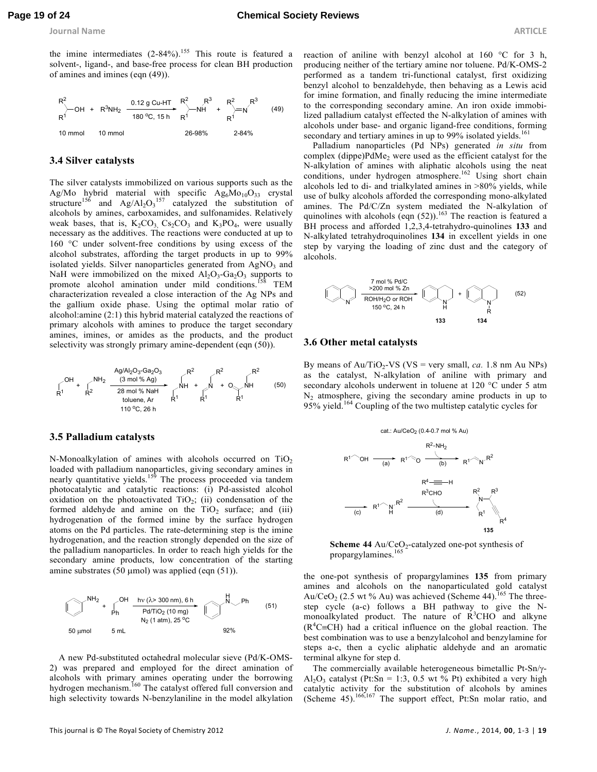**Journal Name ARTICLE** 

the imine intermediates  $(2-84\%)$ .<sup>155</sup> This route is featured a solvent-, ligand-, and base-free process for clean BH production of amines and imines (eqn (49)).



#### **3.4 Silver catalysts**

The silver catalysts immobilized on various supports such as the Ag/Mo hybrid material with specific  $\text{Ag}_6\text{Mo}_{10}\text{O}_{33}$  crystal structure<sup>156</sup> and  $Ag/Al_2O_3$ <sup>157</sup> catalyzed the substitution of alcohols by amines, carboxamides, and sulfonamides. Relatively weak bases, that is,  $K_2CO_3$ ,  $Cs_2CO_3$  and  $K_3PO_4$ , were usually necessary as the additives. The reactions were conducted at up to 160 °C under solvent-free conditions by using excess of the alcohol substrates, affording the target products in up to 99% isolated yields. Silver nanoparticles generated from AgNO<sub>3</sub> and NaH were immobilized on the mixed  $Al_2O_3$ -Ga<sub>2</sub>O<sub>3</sub> supports to promote alcohol amination under mild conditions.<sup>158</sup> TEM characterization revealed a close interaction of the Ag NPs and the gallium oxide phase. Using the optimal molar ratio of alcohol:amine (2:1) this hybrid material catalyzed the reactions of primary alcohols with amines to produce the target secondary amines, imines, or amides as the products, and the product selectivity was strongly primary amine-dependent (eqn (50)).



#### **3.5 Palladium catalysts**

N-Monoalkylation of amines with alcohols occurred on  $TiO<sub>2</sub>$ loaded with palladium nanoparticles, giving secondary amines in nearly quantitative yields.<sup>159</sup> The process proceeded via tandem photocatalytic and catalytic reactions: (i) Pd-assisted alcohol oxidation on the photoactivated  $TiO<sub>2</sub>$ ; (ii) condensation of the formed aldehyde and amine on the  $TiO<sub>2</sub>$  surface; and (iii) hydrogenation of the formed imine by the surface hydrogen atoms on the Pd particles. The rate-determining step is the imine hydrogenation, and the reaction strongly depended on the size of the palladium nanoparticles. In order to reach high yields for the secondary amine products, low concentration of the starting amine substrates (50  $\mu$ mol) was applied (eqn (51)).



A new Pd-substituted octahedral molecular sieve (Pd/K-OMS-2) was prepared and employed for the direct amination of alcohols with primary amines operating under the borrowing hydrogen mechanism.<sup>160</sup> The catalyst offered full conversion and high selectivity towards N-benzylaniline in the model alkylation

reaction of aniline with benzyl alcohol at 160 °C for 3 h, producing neither of the tertiary amine nor toluene. Pd/K-OMS-2 performed as a tandem tri-functional catalyst, first oxidizing benzyl alcohol to benzaldehyde, then behaving as a Lewis acid for imine formation, and finally reducing the imine intermediate to the corresponding secondary amine. An iron oxide immobilized palladium catalyst effected the N-alkylation of amines with alcohols under base- and organic ligand-free conditions, forming secondary and tertiary amines in up to 99% isolated yields.<sup>161</sup>

Palladium nanoparticles (Pd NPs) generated *in situ* from complex (dippe) $PdMe<sub>2</sub>$  were used as the efficient catalyst for the N-alkylation of amines with aliphatic alcohols using the neat conditions, under hydrogen atmosphere.<sup>162</sup> Using short chain alcohols led to di- and trialkylated amines in >80% yields, while use of bulky alcohols afforded the corresponding mono-alkylated amines. The Pd/C/Zn system mediated the N-alkylation of quinolines with alcohols (eqn  $(52)$ ).<sup>163</sup> The reaction is featured a BH process and afforded 1,2,3,4-tetrahydro-quinolines **133** and N-alkylated tetrahydroquinolines **134** in excellent yields in one step by varying the loading of zinc dust and the category of alcohols.



### **3.6 Other metal catalysts**

By means of  $Au/TiO_2$ -VS (VS = very small, *ca.* 1.8 nm Au NPs) as the catalyst, N-alkylation of aniline with primary and secondary alcohols underwent in toluene at 120 °C under 5 atm  $N_2$  atmosphere, giving the secondary amine products in up to 95% yield.<sup>164</sup> Coupling of the two multistep catalytic cycles for



**Scheme 44**  $Au/CeO<sub>2</sub>$ -catalyzed one-pot synthesis of propargylamines.<sup>165</sup>

the one-pot synthesis of propargylamines **135** from primary amines and alcohols on the nanoparticulated gold catalyst Au/CeO<sub>2</sub> (2.5 wt % Au) was achieved (Scheme 44).<sup>165</sup> The threestep cycle (a-c) follows a BH pathway to give the Nmonoalkylated product. The nature of  $R<sup>3</sup>CHO$  and alkyne  $(R<sup>4</sup>C≡CH)$  had a critical influence on the global reaction. The best combination was to use a benzylalcohol and benzylamine for steps a-c, then a cyclic aliphatic aldehyde and an aromatic terminal alkyne for step d.

The commercially available heterogeneous bimetallic Pt-Sn/γ- $Al_2O_3$  catalyst (Pt:Sn = 1:3, 0.5 wt % Pt) exhibited a very high catalytic activity for the substitution of alcohols by amines (Scheme 45).<sup>166,167</sup> The support effect, Pt:Sn molar ratio, and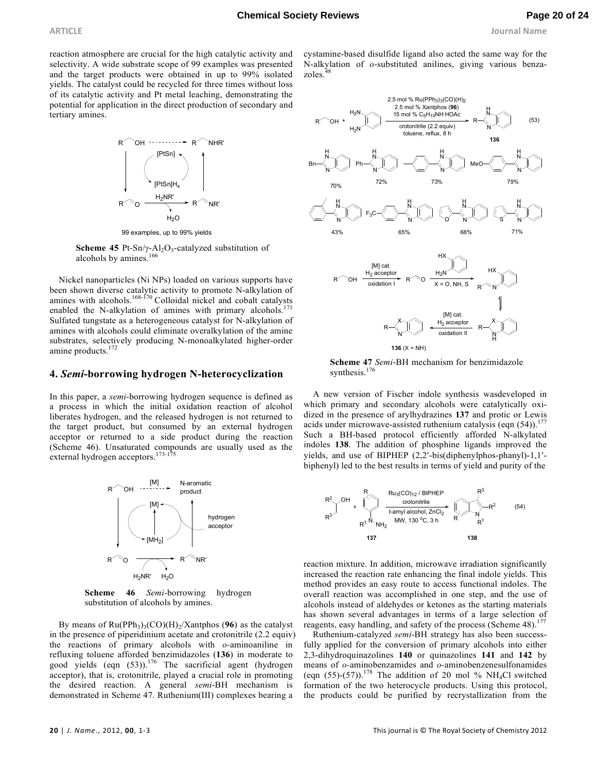**ARTICLE Journal Name**

reaction atmosphere are crucial for the high catalytic activity and selectivity. A wide substrate scope of 99 examples was presented and the target products were obtained in up to 99% isolated yields. The catalyst could be recycled for three times without loss of its catalytic activity and Pt metal leaching, demonstrating the potential for application in the direct production of secondary and tertiary amines.



99 examples, up to 99% yields

**Scheme 45** Pt-Sn/ $\gamma$ -Al<sub>2</sub>O<sub>3</sub>-catalyzed substitution of alcohols by amines.<sup>166</sup>

Nickel nanoparticles (Ni NPs) loaded on various supports have been shown diverse catalytic activity to promote N-alkylation of amines with alcohols.<sup>168-170</sup> Colloidal nickel and cobalt catalysts enabled the N-alkylation of amines with primary alcohols.<sup>1</sup> Sulfated tungstate as a heterogeneous catalyst for N-alkylation of amines with alcohols could eliminate overalkylation of the amine substrates, selectively producing N-monoalkylated higher-order amine products.<sup>172</sup>

### **4.** *Semi***-borrowing hydrogen N-heterocyclization**

In this paper, a *semi*-borrowing hydrogen sequence is defined as a process in which the initial oxidation reaction of alcohol liberates hydrogen, and the released hydrogen is not returned to the target product, but consumed by an external hydrogen acceptor or returned to a side product during the reaction (Scheme 46). Unsaturated compounds are usually used as the external hydrogen acceptors.<sup>173-175</sup>



**Scheme 46** *Semi*-borrowing hydrogen substitution of alcohols by amines.

By means of  $Ru(PPh<sub>3</sub>)<sub>3</sub>(CO)(H)<sub>2</sub>/Xantphos (96)$  as the catalyst in the presence of piperidinium acetate and crotonitrile (2.2 equiv) the reactions of primary alcohols with *o-*aminoaniline in refluxing toluene afforded benzimidazoles (**136**) in moderate to good yields (eqn  $(53)$ ).<sup>176</sup> The sacrificial agent (hydrogen acceptor), that is, crotonitrile, played a crucial role in promoting the desired reaction. A general *semi*-BH mechanism is demonstrated in Scheme 47. Ruthenium(III) complexes bearing a

cystamine-based disulfide ligand also acted the same way for the N-alkylation of *o*-substituted anilines, giving various benzazoles.



**136**  $(X = NH)$ 

**Scheme 47** *Semi*-BH mechanism for benzimidazole synthesis.<sup>176</sup>

A new version of Fischer indole synthesis wasdeveloped in which primary and secondary alcohols were catalytically oxidized in the presence of arylhydrazines **137** and protic or Lewis acids under microwave-assisted ruthenium catalysis (eqn  $(54)$ ).<sup>177</sup> Such a BH-based protocol efficiently afforded N-alkylated indoles **138**. The addition of phosphine ligands improved the yields, and use of BIPHEP (2,2′-bis(diphenylphos-phanyl)-1,1′ biphenyl) led to the best results in terms of yield and purity of the



reaction mixture. In addition, microwave irradiation significantly increased the reaction rate enhancing the final indole yields. This method provides an easy route to access functional indoles. The overall reaction was accomplished in one step, and the use of alcohols instead of aldehydes or ketones as the starting materials has shown several advantages in terms of a large selection of reagents, easy handling, and safety of the process (Scheme 48).<sup>177</sup>

Ruthenium-catalyzed *semi*-BH strategy has also been successfully applied for the conversion of primary alcohols into either 2,3-dihydroquinazolines **140** or quinazolines **141** and **142** by means of *o-*aminobenzamides and *o-*aminobenzenesulfonamides (eqn  $(55)-(57)$ ).<sup>178</sup> The addition of 20 mol % NH<sub>4</sub>Cl switched formation of the two heterocycle products. Using this protocol, the products could be purified by recrystallization from the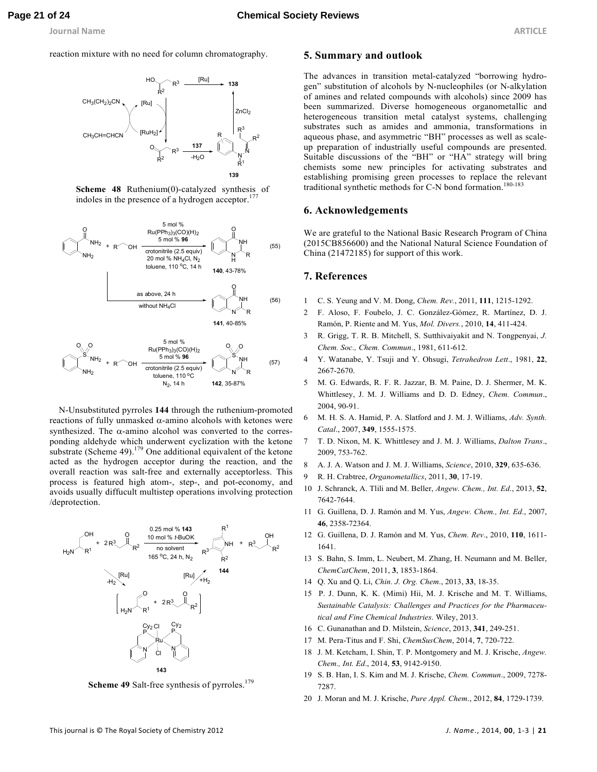reaction mixture with no need for column chromatography.







N-Unsubstituted pyrroles **144** through the ruthenium-promoted reactions of fully unmasked α-amino alcohols with ketones were synthesized. The  $\alpha$ -amino alcohol was converted to the corresponding aldehyde which underwent cyclization with the ketone substrate (Scheme 49).<sup>179</sup> One additional equivalent of the ketone acted as the hydrogen acceptor during the reaction, and the overall reaction was salt-free and externally acceptorless. This process is featured high atom-, step-, and pot-economy, and avoids usually diffucult multistep operations involving protection /deprotection.



**Scheme 49** Salt-free synthesis of pyrroles.<sup>179</sup>

#### **5. Summary and outlook**

The advances in transition metal-catalyzed "borrowing hydrogen" substitution of alcohols by N-nucleophiles (or N-alkylation of amines and related compounds with alcohols) since 2009 has been summarized. Diverse homogeneous organometallic and heterogeneous transition metal catalyst systems, challenging substrates such as amides and ammonia, transformations in aqueous phase, and asymmetric "BH" processes as well as scaleup preparation of industrially useful compounds are presented. Suitable discussions of the "BH" or "HA" strategy will bring chemists some new principles for activating substrates and establishing promising green processes to replace the relevant traditional synthetic methods for C-N bond formation.<sup>180-183</sup>

### **6. Acknowledgements**

We are grateful to the National Basic Research Program of China (2015CB856600) and the National Natural Science Foundation of China (21472185) for support of this work.

# **7. References**

- 1 C. S. Yeung and V. M. Dong, *Chem. Rev.*, 2011, **111**, 1215-1292.
- 2 F. Aloso, F. Foubelo, J. C. González-Gómez, R. Martínez, D. J. Ramón, P. Riente and M. Yus, *Mol. Divers.*, 2010, **14**, 411-424.
- 3 R. Grigg, T. R. B. Mitchell, S. Sutthivaiyakit and N. Tongpenyai, *J. Chem. Soc., Chem. Commun*., 1981, 611-612.
- 4 Y. Watanabe, Y. Tsuji and Y. Ohsugi, *Tetrahedron Lett*., 1981, **22**, 2667-2670.
- 5 M. G. Edwards, R. F. R. Jazzar, B. M. Paine, D. J. Shermer, M. K. Whittlesey, J. M. J. Williams and D. D. Edney, *Chem. Commun*., 2004, 90-91.
- 6 M. H. S. A. Hamid, P. A. Slatford and J. M. J. Williams, *Adv. Synth. Catal*., 2007, **349**, 1555-1575.
- 7 T. D. Nixon, M. K. Whittlesey and J. M. J. Williams, *Dalton Trans*., 2009, 753-762.
- 8 A. J. A. Watson and J. M. J. Williams, *Science*, 2010, **329**, 635-636.
- 9 R. H. Crabtree, *Organometallics*, 2011, **30**, 17-19.
- 10 J. Schranck, A. Tlili and M. Beller, *Angew. Chem., Int. Ed*., 2013, **52**, 7642-7644.
- 11 G. Guillena, D. J. Ramón and M. Yus, *Angew. Chem., Int. Ed*., 2007, **46**, 2358-72364.
- 12 G. Guillena, D. J. Ramón and M. Yus, *Chem. Rev*., 2010, **110**, 1611- 1641.
- 13 S. Bahn, S. Imm, L. Neubert, M. Zhang, H. Neumann and M. Beller, *ChemCatChem*, 2011, **3**, 1853-1864.
- 14 Q. Xu and Q. Li, *Chin. J. Org. Chem*., 2013, **33**, 18-35.
- 15 P. J. Dunn, K. K. (Mimi) Hii, M. J. Krische and M. T. Williams, *Sustainable Catalysis: Challenges and Practices for the Pharmaceutical and Fine Chemical Industries*. Wiley, 2013.
- 16 C. Gunanathan and D. Milstein, *Science*, 2013, **341**, 249-251.
- 17 M. Pera-Titus and F. Shi, *ChemSusChem*, 2014, **7**, 720-722.
- 18 J. M. Ketcham, I. Shin, T. P. Montgomery and M. J. Krische, *Angew. Chem., Int. Ed*., 2014, **53**, 9142-9150.
- 19 S. B. Han, I. S. Kim and M. J. Krische, *Chem. Commun*., 2009, 7278- 7287.
- 20 J. Moran and M. J. Krische, *Pure Appl. Chem*., 2012, **84**, 1729-1739.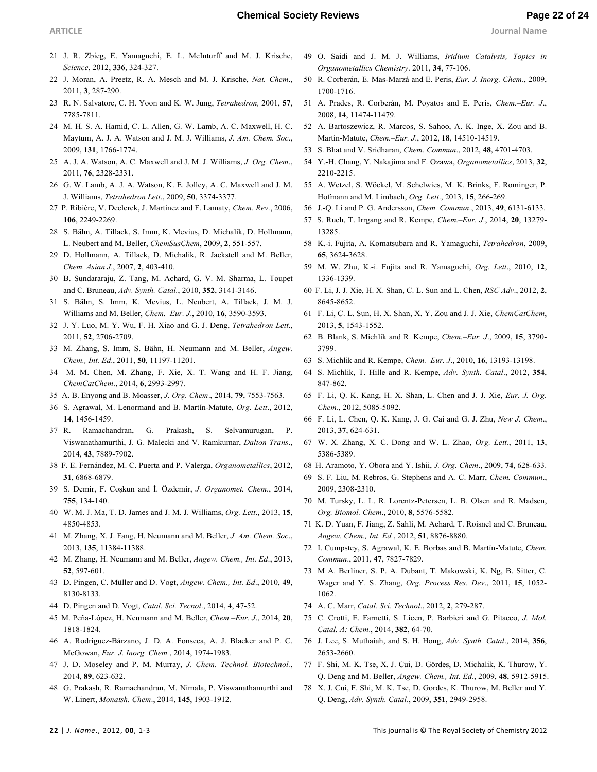- 21 J. R. Zbieg, E. Yamaguchi, E. L. McInturff and M. J. Krische, *Science*, 2012, **336**, 324-327.
- 22 J. Moran, A. Preetz, R. A. Mesch and M. J. Krische, *Nat. Chem*., 2011, **3**, 287-290.
- 23 R. N. Salvatore, C. H. Yoon and K. W. Jung, *Tetrahedron,* 2001, **57**, 7785-7811.
- 24 M. H. S. A. Hamid, C. L. Allen, G. W. Lamb, A. C. Maxwell, H. C. Maytum, A. J. A. Watson and J. M. J. Williams, *J. Am. Chem. Soc*., 2009, **131**, 1766-1774.
- 25 A. J. A. Watson, A. C. Maxwell and J. M. J. Williams, *J. Org. Chem*., 2011, **76**, 2328-2331.
- 26 G. W. Lamb, A. J. A. Watson, K. E. Jolley, A. C. Maxwell and J. M. J. Williams, *Tetrahedron Lett*., 2009, **50**, 3374-3377.
- 27 P. Ribière, V. Declerck, J. Martinez and F. Lamaty, *Chem. Rev*., 2006, **106**, 2249-2269.
- 28 S. Bähn, A. Tillack, S. Imm, K. Mevius, D. Michalik, D. Hollmann, L. Neubert and M. Beller, *ChemSusChem*, 2009, **2**, 551-557.
- 29 D. Hollmann, A. Tillack, D. Michalik, R. Jackstell and M. Beller, *Chem. Asian J*., 2007, **2**, 403-410.
- 30 B. Sundararaju, Z. Tang, M. Achard, G. V. M. Sharma, L. Toupet and C. Bruneau, *Adv. Synth. Catal.*, 2010, **352**, 3141-3146.
- 31 S. Bähn, S. Imm, K. Mevius, L. Neubert, A. Tillack, J. M. J. Williams and M. Beller, *Chem.–Eur. J*., 2010, **16**, 3590-3593.
- 32 J. Y. Luo, M. Y. Wu, F. H. Xiao and G. J. Deng, *Tetrahedron Lett*., 2011, **52**, 2706-2709.
- 33 M. Zhang, S. Imm, S. Bähn, H. Neumann and M. Beller, *Angew. Chem., Int. Ed*., 2011, **50**, 11197-11201.
- 34 M. M. Chen, M. Zhang, F. Xie, X. T. Wang and H. F. Jiang, *ChemCatChem*., 2014, **6**, 2993-2997.
- 35 A. B. Enyong and B. Moasser, *J. Org. Chem*., 2014, **79**, 7553-7563.
- 36 S. Agrawal, M. Lenormand and B. Martín-Matute, *Org. Lett*., 2012, **14**, 1456-1459.
- 37 R. Ramachandran, G. Prakash, S. Selvamurugan, P. Viswanathamurthi, J. G. Malecki and V. Ramkumar, *Dalton Trans*., 2014, **43**, 7889-7902.
- 38 F. E. Fernández, M. C. Puerta and P. Valerga, *Organometallics*, 2012, **31**, 6868-6879.
- 39 S. Demir, F. Coşkun and İ. Özdemir, *J. Organomet. Chem.*, 2014, **755**, 134-140.
- 40 W. M. J. Ma, T. D. James and J. M. J. Williams, *Org. Lett*., 2013, **15**, 4850-4853.
- 41 M. Zhang, X. J. Fang, H. Neumann and M. Beller, *J. Am. Chem. Soc*., 2013, **135**, 11384-11388.
- 42 M. Zhang, H. Neumann and M. Beller, *Angew. Chem., Int. Ed*., 2013, **52**, 597-601.
- 43 D. Pingen, C. Müller and D. Vogt, *Angew. Chem., Int. Ed*., 2010, **49**, 8130-8133.
- 44 D. Pingen and D. Vogt, *Catal. Sci. Tecnol*., 2014, **4**, 47-52.
- 45 M. Peña-López, H. Neumann and M. Beller, *Chem.–Eur. J*., 2014, **20**, 1818-1824.
- 46 A. Rodríguez-Bárzano, J. D. A. Fonseca, A. J. Blacker and P. C. McGowan, *Eur. J. Inorg. Chem.*, 2014, 1974-1983.
- 47 J. D. Moseley and P. M. Murray, *J. Chem. Technol. Biotechnol.*, 2014, **89**, 623-632.
- 48 G. Prakash, R. Ramachandran, M. Nimala, P. Viswanathamurthi and W. Linert, *Monatsh. Chem*., 2014, **145**, 1903-1912.
- 49 O. Saidi and J. M. J. Williams, *Iridium Catalysis, Topics in Organometallics Chemistry*. 2011, **34**, 77-106.
- 50 R. Corberán, E. Mas-Marzá and E. Peris, *Eur. J. Inorg. Chem*., 2009, 1700-1716.
- 51 A. Prades, R. Corberán, M. Poyatos and E. Peris, *Chem.–Eur. J*., 2008, **14**, 11474-11479.
- 52 A. Bartoszewicz, R. Marcos, S. Sahoo, A. K. Inge, X. Zou and B. Martín-Matute, *Chem.–Eur. J*., 2012, **18**, 14510-14519.
- 53 S. Bhat and V. Sridharan, *Chem. Commun*., 2012, **48**, 4701-4703.
- 54 Y.-H. Chang, Y. Nakajima and F. Ozawa, *Organometallics*, 2013, **32**, 2210-2215.
- 55 A. Wetzel, S. Wöckel, M. Schelwies, M. K. Brinks, F. Rominger, P. Hofmann and M. Limbach, *Org. Lett*., 2013, **15**, 266-269.
- 56 J.-Q. Li and P. G. Andersson, *Chem. Commun*., 2013, **49**, 6131-6133.
- 57 S. Ruch, T. Irrgang and R. Kempe, *Chem.–Eur. J*., 2014, **20**, 13279- 13285.
- 58 K.-i. Fujita, A. Komatsubara and R. Yamaguchi, *Tetrahedron*, 2009, **65**, 3624-3628.
- 59 M. W. Zhu, K.-i. Fujita and R. Yamaguchi, *Org. Lett*., 2010, **12**, 1336-1339.
- 60 F. Li, J. J. Xie, H. X. Shan, C. L. Sun and L. Chen, *RSC Adv*., 2012, **2**, 8645-8652.
- 61 F. Li, C. L. Sun, H. X. Shan, X. Y. Zou and J. J. Xie, *ChemCatChem*, 2013, **5**, 1543-1552.
- 62 B. Blank, S. Michlik and R. Kempe, *Chem.–Eur. J*., 2009, **15**, 3790- 3799.
- 63 S. Michlik and R. Kempe, *Chem.–Eur. J*., 2010, **16**, 13193-13198.
- 64 S. Michlik, T. Hille and R. Kempe, *Adv. Synth. Catal*., 2012, **354**, 847-862.
- 65 F. Li, Q. K. Kang, H. X. Shan, L. Chen and J. J. Xie, *Eur. J. Org. Chem*., 2012, 5085-5092.
- 66 F. Li, L. Chen, Q. K. Kang, J. G. Cai and G. J. Zhu, *New J. Chem*., 2013, **37**, 624-631.
- 67 W. X. Zhang, X. C. Dong and W. L. Zhao, *Org. Lett*., 2011, **13**, 5386-5389.
- 68 H. Aramoto, Y. Obora and Y. Ishii, *J. Org. Chem*., 2009, **74**, 628-633.
- 69 S. F. Liu, M. Rebros, G. Stephens and A. C. Marr, *Chem. Commun*., 2009, 2308-2310.
- 70 M. Tursky, L. L. R. Lorentz-Petersen, L. B. Olsen and R. Madsen, *Org. Biomol. Chem*., 2010, **8**, 5576-5582.
- 71 K. D. Yuan, F. Jiang, Z. Sahli, M. Achard, T. Roisnel and C. Bruneau, *Angew. Chem., Int. Ed.*, 2012, **51**, 8876-8880.
- 72 I. Cumpstey, S. Agrawal, K. E. Borbas and B. Martín-Matute, *Chem. Commun*., 2011, **47**, 7827-7829.
- 73 M A. Berliner, S. P. A. Dubant, T. Makowski, K. Ng, B. Sitter, C. Wager and Y. S. Zhang, *Org. Process Res. Dev*., 2011, **15**, 1052- 1062.
- 74 A. C. Marr, *Catal. Sci. Technol*., 2012, **2**, 279-287.
- 75 C. Crotti, E. Farnetti, S. Licen, P. Barbieri and G. Pitacco, *J. Mol. Catal. A: Chem*., 2014, **382**, 64-70.
- 76 J. Lee, S. Muthaiah, and S. H. Hong, *Adv. Synth. Catal*., 2014, **356**, 2653-2660.
- 77 F. Shi, M. K. Tse, X. J. Cui, D. Gördes, D. Michalik, K. Thurow, Y. Q. Deng and M. Beller, *Angew. Chem., Int. Ed*., 2009, **48**, 5912-5915.
- 78 X. J. Cui, F. Shi, M. K. Tse, D. Gordes, K. Thurow, M. Beller and Y. Q. Deng, *Adv. Synth. Catal*., 2009, **351**, 2949-2958.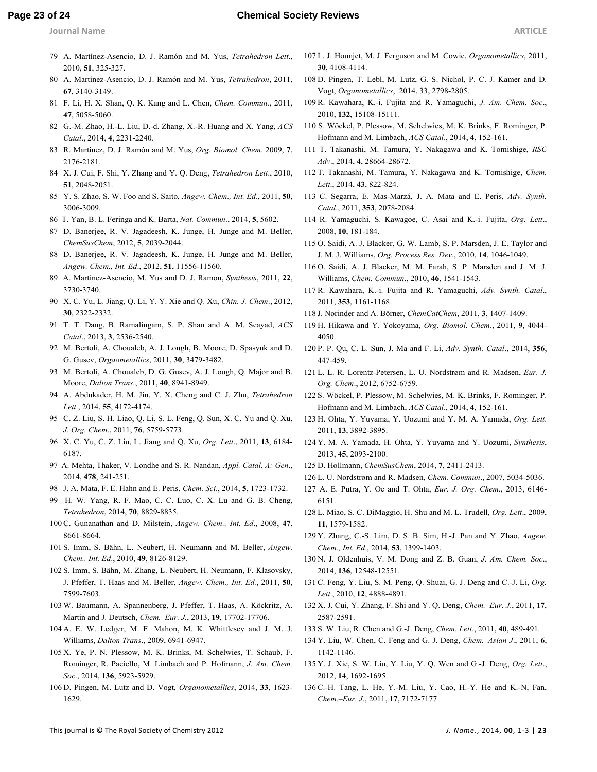### **Page 23 of 24 Chemical Society Reviews**

- 
- 79 A. Martínez-Asencio, D. J. Ramón and M. Yus, *Tetrahedron Lett*., 2010, **51**, 325-327.
- 80 A. Martínez-Asencio, D. J. Ramón and M. Yus, *Tetrahedron*, 2011, **67**, 3140-3149.
- 81 F. Li, H. X. Shan, Q. K. Kang and L. Chen, *Chem. Commun*., 2011, **47**, 5058-5060.
- 82 G.-M. Zhao, H.-L. Liu, D.-d. Zhang, X.-R. Huang and X. Yang, *ACS Catal*., 2014, **4**, 2231-2240.
- 83 R. Martínez, D. J. Ramón and M. Yus, *Org. Biomol. Chem*. 2009, **7**, 2176-2181.
- 84 X. J. Cui, F. Shi, Y. Zhang and Y. Q. Deng, *Tetrahedron Lett*., 2010, **51**, 2048-2051.
- 85 Y. S. Zhao, S. W. Foo and S. Saito, *Angew. Chem., Int. Ed*., 2011, **50**, 3006-3009.
- 86 T. Yan, B. L. Feringa and K. Barta, *Nat. Commun*., 2014, **5**, 5602.
- 87 D. Banerjee, R. V. Jagadeesh, K. Junge, H. Junge and M. Beller, *ChemSusChem*, 2012, **5**, 2039-2044.
- 88 D. Banerjee, R. V. Jagadeesh, K. Junge, H. Junge and M. Beller, *Angew. Chem., Int. Ed*., 2012, **51**, 11556-11560.
- 89 A. Martinez-Asencio, M. Yus and D. J. Ramon, *Synthesis*, 2011, **22**, 3730-3740.
- 90 X. C. Yu, L. Jiang, Q. Li, Y. Y. Xie and Q. Xu, *Chin. J. Chem*., 2012, **30**, 2322-2332.
- 91 T. T. Dang, B. Ramalingam, S. P. Shan and A. M. Seayad, *ACS Catal*., 2013, **3**, 2536-2540.
- 92 M. Bertoli, A. Choualeb, A. J. Lough, B. Moore, D. Spasyuk and D. G. Gusev, *Orgaometallics*, 2011, **30**, 3479-3482.
- 93 M. Bertoli, A. Choualeb, D. G. Gusev, A. J. Lough, Q. Major and B. Moore, *Dalton Trans.*, 2011, **40**, 8941-8949.
- 94 A. Abdukader, H. M. Jin, Y. X. Cheng and C. J. Zhu, *Tetrahedron Lett*., 2014, **55**, 4172-4174.
- 95 C. Z. Liu, S. H. Liao, Q. Li, S. L. Feng, Q. Sun, X. C. Yu and Q. Xu, *J. Org. Chem*., 2011, **76**, 5759-5773.
- 96 X. C. Yu, C. Z. Liu, L. Jiang and Q. Xu, *Org. Lett*., 2011, **13**, 6184- 6187.
- 97 A. Mehta, Thaker, V. Londhe and S. R. Nandan, *Appl. Catal. A: Gen*., 2014, **478**, 241-251.
- 98 J. A. Mata, F. E. Hahn and E. Peris, *Chem. Sci*., 2014, **5**, 1723-1732.
- 99 H. W. Yang, R. F. Mao, C. C. Luo, C. X. Lu and G. B. Cheng, *Tetrahedron*, 2014, **70**, 8829-8835.
- 100 C. Gunanathan and D. Milstein, *Angew. Chem., Int. Ed*., 2008, **47**, 8661-8664.
- 101 S. Imm, S. Bähn, L. Neubert, H. Neumann and M. Beller, *Angew. Chem., Int. Ed*., 2010, **49**, 8126-8129.
- 102 S. Imm, S. Bähn, M. Zhang, L. Neubert, H. Neumann, F. Klasovsky, J. Pfeffer, T. Haas and M. Beller, *Angew. Chem., Int. Ed.*, 2011, **50**, 7599-7603.
- 103 W. Baumann, A. Spannenberg, J. Pfeffer, T. Haas, A. Köckritz, A. Martin and J. Deutsch, *Chem.–Eur. J.*, 2013, **19**, 17702-17706.
- 104 A. E. W. Ledger, M. F. Mahon, M. K. Whittlesey and J. M. J. Williams, *Dalton Trans*., 2009, 6941-6947.
- 105 X. Ye, P. N. Plessow, M. K. Brinks, M. Schelwies, T. Schaub, F. Rominger, R. Paciello, M. Limbach and P. Hofmann, *J. Am. Chem. Soc*., 2014, **136**, 5923-5929.
- 106 D. Pingen, M. Lutz and D. Vogt, *Organometallics*, 2014, **33**, 1623- 1629.
- 107 L. J. Hounjet, M. J. Ferguson and M. Cowie, *Organometallics*, 2011, **30**, 4108-4114.
- 108 D. Pingen, T. Lebl, M. Lutz, G. S. Nichol, P. C. J. Kamer and D. Vogt, *Organometallics*, 2014, 33, 2798-2805.
- 109 R. Kawahara, K.-i. Fujita and R. Yamaguchi, *J. Am. Chem. Soc*., 2010, **132**, 15108-15111.
- 110 S. Wöckel, P. Plessow, M. Schelwies, M. K. Brinks, F. Rominger, P. Hofmann and M. Limbach, *ACS Catal*., 2014, **4**, 152-161.
- 111 T. Takanashi, M. Tamura, Y. Nakagawa and K. Tomishige, *RSC Adv*., 2014, **4**, 28664-28672.
- 112 T. Takanashi, M. Tamura, Y. Nakagawa and K. Tomishige, *Chem. Lett*., 2014, **43**, 822-824.
- 113 C. Segarra, E. Mas-Marzá, J. A. Mata and E. Peris, *Adv. Synth. Catal*., 2011, **353**, 2078-2084.
- 114 R. Yamaguchi, S. Kawagoe, C. Asai and K.-i. Fujita, *Org. Lett*., 2008, **10**, 181-184.
- 115 O. Saidi, A. J. Blacker, G. W. Lamb, S. P. Marsden, J. E. Taylor and J. M. J. Williams, *Org. Process Res. Dev*., 2010, **14**, 1046-1049.
- 116 O. Saidi, A. J. Blacker, M. M. Farah, S. P. Marsden and J. M. J. Williams, *Chem. Commun*., 2010, **46**, 1541-1543.
- 117 R. Kawahara, K.-i. Fujita and R. Yamaguchi, *Adv. Synth. Catal*., 2011, **353**, 1161-1168.
- 118 J. Norinder and A. Börner, *ChemCatChem*, 2011, **3**, 1407-1409.
- 119 H. Hikawa and Y. Yokoyama, *Org. Biomol. Chem*., 2011, **9**, 4044- 4050.
- 120 P. P. Qu, C. L. Sun, J. Ma and F. Li, *Adv. Synth. Catal*., 2014, **356**, 447-459.
- 121 L. L. R. Lorentz-Petersen, L. U. Nordstrøm and R. Madsen, *Eur. J. Org. Chem*., 2012, 6752-6759.
- 122 S. Wöckel, P. Plessow, M. Schelwies, M. K. Brinks, F. Rominger, P. Hofmann and M. Limbach, *ACS Catal*., 2014, **4**, 152-161.
- 123 H. Ohta, Y. Yuyama, Y. Uozumi and Y. M. A. Yamada, *Org. Lett*. 2011, **13**, 3892-3895.
- 124 Y. M. A. Yamada, H. Ohta, Y. Yuyama and Y. Uozumi, *Synthesis*, 2013, **45**, 2093-2100.
- 125 D. Hollmann, *ChemSusChem*, 2014, **7**, 2411-2413.
- 126 L. U. Nordstrøm and R. Madsen, *Chem. Commun*., 2007, 5034-5036.
- 127 A. E. Putra, Y. Oe and T. Ohta, *Eur. J. Org. Chem*., 2013, 6146- 6151.
- 128 L. Miao, S. C. DiMaggio, H. Shu and M. L. Trudell, *Org. Lett*., 2009, **11**, 1579-1582.
- 129 Y. Zhang, C.-S. Lim, D. S. B. Sim, H.-J. Pan and Y. Zhao, *Angew. Chem., Int. Ed*., 2014, **53**, 1399-1403.
- 130 N. J. Oldenhuis, V. M. Dong and Z. B. Guan, *J. Am. Chem. Soc*., 2014, **136**, 12548-12551.
- 131 C. Feng, Y. Liu, S. M. Peng, Q. Shuai, G. J. Deng and C.-J. Li, *Org. Lett*., 2010, **12**, 4888-4891.
- 132 X. J. Cui, Y. Zhang, F. Shi and Y. Q. Deng, *Chem.–Eur. J*., 2011, **17**, 2587-2591.
- 133 S. W. Liu, R. Chen and G.-J. Deng, *Chem. Lett*., 2011, **40**, 489-491.
- 134 Y. Liu, W. Chen, C. Feng and G. J. Deng, *Chem.–Asian J*., 2011, **6**, 1142-1146.
- 135 Y. J. Xie, S. W. Liu, Y. Liu, Y. Q. Wen and G.-J. Deng, *Org. Lett*., 2012, **14**, 1692-1695.
- 136 C.-H. Tang, L. He, Y.-M. Liu, Y. Cao, H.-Y. He and K.-N, Fan, *Chem.–Eur. J*., 2011, **17**, 7172-7177.